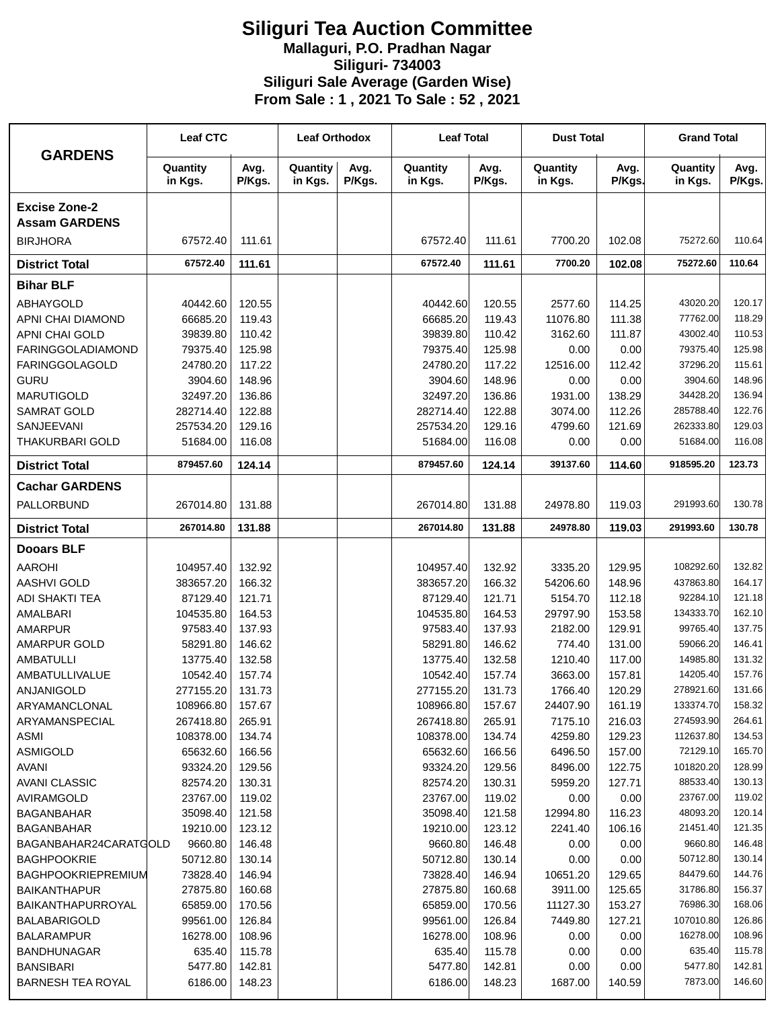## **Siliguri Tea Auction Committee Mallaguri, P.O. Pradhan Nagar Siliguri- 734003 Siliguri Sale Average (Garden Wise) From Sale : 1 , 2021 To Sale : 52 , 2021**

| <b>GARDENS</b>                               | <b>Leaf CTC</b>     |                | <b>Leaf Orthodox</b> |                | <b>Leaf Total</b>   |                | <b>Dust Total</b>   |                | <b>Grand Total</b>  |                |
|----------------------------------------------|---------------------|----------------|----------------------|----------------|---------------------|----------------|---------------------|----------------|---------------------|----------------|
|                                              | Quantity<br>in Kgs. | Avg.<br>P/Kgs. | Quantity<br>in Kgs.  | Avg.<br>P/Kgs. | Quantity<br>in Kgs. | Avg.<br>P/Kgs. | Quantity<br>in Kgs. | Avg.<br>P/Kgs. | Quantity<br>in Kgs. | Avg.<br>P/Kgs. |
| <b>Excise Zone-2</b><br><b>Assam GARDENS</b> |                     |                |                      |                |                     |                |                     |                |                     |                |
| <b>BIRJHORA</b>                              | 67572.40            | 111.61         |                      |                | 67572.40            | 111.61         | 7700.20             | 102.08         | 75272.60            | 110.64         |
| <b>District Total</b>                        | 67572.40            | 111.61         |                      |                | 67572.40            | 111.61         | 7700.20             | 102.08         | 75272.60            | 110.64         |
| <b>Bihar BLF</b>                             |                     |                |                      |                |                     |                |                     |                |                     |                |
| <b>ABHAYGOLD</b>                             | 40442.60            | 120.55         |                      |                | 40442.60            | 120.55         | 2577.60             | 114.25         | 43020.20            | 120.17         |
| APNI CHAI DIAMOND                            | 66685.20            | 119.43         |                      |                | 66685.20            | 119.43         | 11076.80            | 111.38         | 77762.00            | 118.29         |
| APNI CHAI GOLD                               | 39839.80            | 110.42         |                      |                | 39839.80            | 110.42         | 3162.60             | 111.87         | 43002.40            | 110.53         |
| <b>FARINGGOLADIAMOND</b>                     | 79375.40            | 125.98         |                      |                | 79375.40            | 125.98         | 0.00                | 0.00           | 79375.40            | 125.98         |
| <b>FARINGGOLAGOLD</b>                        | 24780.20            | 117.22         |                      |                | 24780.20            | 117.22         | 12516.00            | 112.42         | 37296.20            | 115.61         |
| <b>GURU</b>                                  | 3904.60             | 148.96         |                      |                | 3904.60             | 148.96         | 0.00                | 0.00           | 3904.60             | 148.96         |
| <b>MARUTIGOLD</b>                            | 32497.20            | 136.86         |                      |                | 32497.20            | 136.86         | 1931.00             | 138.29         | 34428.20            | 136.94         |
| <b>SAMRAT GOLD</b>                           | 282714.40           | 122.88         |                      |                | 282714.40           | 122.88         | 3074.00             | 112.26         | 285788.40           | 122.76         |
| SANJEEVANI                                   | 257534.20           | 129.16         |                      |                | 257534.20           | 129.16         | 4799.60             | 121.69         | 262333.80           | 129.03         |
| <b>THAKURBARI GOLD</b>                       | 51684.00            | 116.08         |                      |                | 51684.00            | 116.08         | 0.00                | 0.00           | 51684.00            | 116.08         |
| <b>District Total</b>                        | 879457.60           | 124.14         |                      |                | 879457.60           | 124.14         | 39137.60            | 114.60         | 918595.20           | 123.73         |
| <b>Cachar GARDENS</b>                        |                     |                |                      |                |                     |                |                     |                |                     |                |
| PALLORBUND                                   | 267014.80           | 131.88         |                      |                | 267014.80           | 131.88         | 24978.80            | 119.03         | 291993.60           | 130.78         |
| <b>District Total</b>                        | 267014.80           | 131.88         |                      |                | 267014.80           | 131.88         | 24978.80            | 119.03         | 291993.60           | 130.78         |
| <b>Dooars BLF</b>                            |                     |                |                      |                |                     |                |                     |                |                     |                |
| <b>AAROHI</b>                                | 104957.40           | 132.92         |                      |                | 104957.40           | 132.92         | 3335.20             | 129.95         | 108292.60           | 132.82         |
| <b>AASHVI GOLD</b>                           | 383657.20           | 166.32         |                      |                | 383657.20           | 166.32         | 54206.60            | 148.96         | 437863.80           | 164.17         |
| <b>ADI SHAKTI TEA</b>                        | 87129.40            | 121.71         |                      |                | 87129.40            | 121.71         | 5154.70             | 112.18         | 92284.10            | 121.18         |
| AMALBARI                                     | 104535.80           | 164.53         |                      |                | 104535.80           | 164.53         | 29797.90            | 153.58         | 134333.70           | 162.10         |
| <b>AMARPUR</b>                               | 97583.40            | 137.93         |                      |                | 97583.40            | 137.93         | 2182.00             | 129.91         | 99765.40            | 137.75         |
| <b>AMARPUR GOLD</b>                          | 58291.80            | 146.62         |                      |                | 58291.80            | 146.62         | 774.40              | 131.00         | 59066.20            | 146.41         |
| <b>AMBATULLI</b>                             | 13775.40            | 132.58         |                      |                | 13775.40            | 132.58         | 1210.40             | 117.00         | 14985.80            | 131.32         |
| AMBATULLIVALUE                               | 10542.40            | 157.74         |                      |                | 10542.40            | 157.74         | 3663.00             | 157.81         | 14205.40            | 157.76         |
| <b>ANJANIGOLD</b>                            | 277155.20           | 131.73         |                      |                | 277155.20           | 131.73         | 1766.40             | 120.29         | 278921.60           | 131.66         |
| ARYAMANCLONAL                                | 108966.80           | 157.67         |                      |                | 108966.80           | 157.67         | 24407.90            | 161.19         | 133374.70           | 158.32         |
| ARYAMANSPECIAL                               | 267418.80           | 265.91         |                      |                | 267418.80           | 265.91         | 7175.10             | 216.03         | 274593.90           | 264.61         |
| <b>ASMI</b>                                  | 108378.00           | 134.74         |                      |                | 108378.00           | 134.74         | 4259.80             | 129.23         | 112637.80           | 134.53         |
| <b>ASMIGOLD</b>                              | 65632.60            | 166.56         |                      |                | 65632.60            | 166.56         | 6496.50             | 157.00         | 72129.10            | 165.70         |
| <b>AVANI</b>                                 | 93324.20            | 129.56         |                      |                | 93324.20            | 129.56         | 8496.00             | 122.75         | 101820.20           | 128.99         |
| <b>AVANI CLASSIC</b>                         | 82574.20            | 130.31         |                      |                | 82574.20            | 130.31         | 5959.20             | 127.71         | 88533.40            | 130.13         |
| AVIRAMGOLD                                   | 23767.00            | 119.02         |                      |                | 23767.00            | 119.02         | 0.00                | 0.00           | 23767.00            | 119.02         |
| <b>BAGANBAHAR</b>                            | 35098.40            | 121.58         |                      |                | 35098.40            | 121.58         | 12994.80            | 116.23         | 48093.20            | 120.14         |
| <b>BAGANBAHAR</b>                            | 19210.00            | 123.12         |                      |                | 19210.00            | 123.12         | 2241.40             | 106.16         | 21451.40            | 121.35         |
| BAGANBAHAR24CARATGOLD                        | 9660.80             | 146.48         |                      |                | 9660.80             | 146.48         | 0.00                | 0.00           | 9660.80             | 146.48         |
| <b>BAGHPOOKRIE</b>                           | 50712.80            | 130.14         |                      |                | 50712.80            | 130.14         | 0.00                | 0.00           | 50712.80            | 130.14         |
| <b>BAGHPOOKRIEPREMIUM</b>                    | 73828.40            | 146.94         |                      |                | 73828.40            | 146.94         | 10651.20            | 129.65         | 84479.60            | 144.76         |
| <b>BAIKANTHAPUR</b>                          | 27875.80            | 160.68         |                      |                | 27875.80            | 160.68         | 3911.00             | 125.65         | 31786.80            | 156.37         |
| BAIKANTHAPURROYAL                            | 65859.00            | 170.56         |                      |                | 65859.00            | 170.56         | 11127.30            | 153.27         | 76986.30            | 168.06         |
| <b>BALABARIGOLD</b>                          | 99561.00            | 126.84         |                      |                | 99561.00            | 126.84         | 7449.80             | 127.21         | 107010.80           | 126.86         |
| <b>BALARAMPUR</b>                            | 16278.00            | 108.96         |                      |                | 16278.00            | 108.96         | 0.00                | 0.00           | 16278.00            | 108.96         |
| <b>BANDHUNAGAR</b>                           | 635.40              | 115.78         |                      |                | 635.40              | 115.78         | 0.00                | 0.00           | 635.40              | 115.78         |
| <b>BANSIBARI</b>                             | 5477.80             | 142.81         |                      |                | 5477.80             | 142.81         | 0.00                | 0.00           | 5477.80             | 142.81         |
| <b>BARNESH TEA ROYAL</b>                     | 6186.00             | 148.23         |                      |                | 6186.00             | 148.23         | 1687.00             | 140.59         | 7873.00             | 146.60         |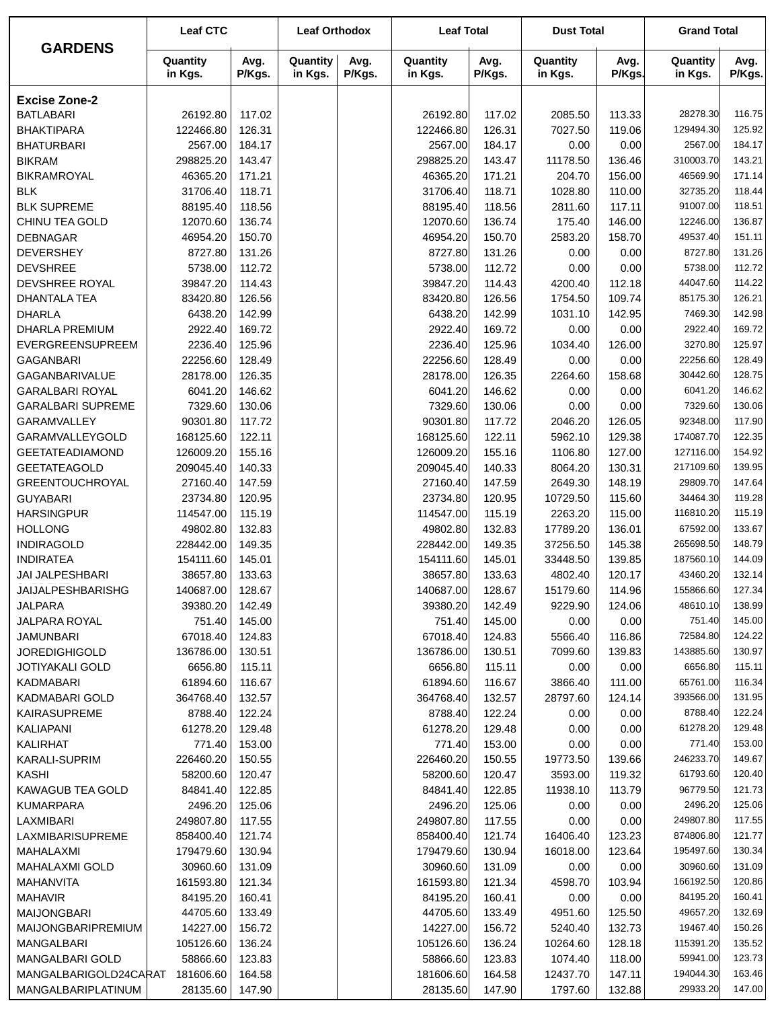|                                             | <b>Leaf CTC</b>       |                  | <b>Leaf Orthodox</b> |                | <b>Leaf Total</b>     |                  | <b>Dust Total</b>   |                  | <b>Grand Total</b>     |                  |
|---------------------------------------------|-----------------------|------------------|----------------------|----------------|-----------------------|------------------|---------------------|------------------|------------------------|------------------|
| <b>GARDENS</b>                              | Quantity<br>in Kgs.   | Avg.<br>P/Kgs.   | Quantity<br>in Kgs.  | Avg.<br>P/Kgs. | Quantity<br>in Kgs.   | Avg.<br>P/Kgs.   | Quantity<br>in Kgs. | Avg.<br>P/Kgs.   | Quantity<br>in Kgs.    | Avg.<br>P/Kgs.   |
| <b>Excise Zone-2</b>                        |                       |                  |                      |                |                       |                  |                     |                  |                        |                  |
| <b>BATLABARI</b>                            | 26192.80              | 117.02           |                      |                | 26192.80              | 117.02           | 2085.50             | 113.33           | 28278.30               | 116.75           |
| <b>BHAKTIPARA</b>                           | 122466.80             | 126.31           |                      |                | 122466.80             | 126.31           | 7027.50             | 119.06           | 129494.30              | 125.92           |
| <b>BHATURBARI</b>                           | 2567.00               | 184.17           |                      |                | 2567.00               | 184.17           | 0.00                | 0.00             | 2567.00                | 184.17           |
| <b>BIKRAM</b>                               | 298825.20             | 143.47           |                      |                | 298825.20             | 143.47           | 11178.50            | 136.46           | 310003.70              | 143.21           |
| <b>BIKRAMROYAL</b>                          | 46365.20              | 171.21           |                      |                | 46365.20              | 171.21           | 204.70              | 156.00           | 46569.90               | 171.14           |
| <b>BLK</b>                                  | 31706.40              | 118.71           |                      |                | 31706.40              | 118.71           | 1028.80             | 110.00           | 32735.20               | 118.44           |
| <b>BLK SUPREME</b>                          | 88195.40              | 118.56           |                      |                | 88195.40              | 118.56           | 2811.60             | 117.11           | 91007.00               | 118.51           |
| CHINU TEA GOLD                              | 12070.60              | 136.74           |                      |                | 12070.60              | 136.74           | 175.40              | 146.00           | 12246.00               | 136.87           |
| <b>DEBNAGAR</b>                             | 46954.20              | 150.70           |                      |                | 46954.20              | 150.70           | 2583.20             | 158.70           | 49537.40               | 151.11           |
| <b>DEVERSHEY</b>                            | 8727.80               | 131.26           |                      |                | 8727.80               | 131.26           | 0.00                | 0.00             | 8727.80                | 131.26           |
| <b>DEVSHREE</b>                             | 5738.00               | 112.72           |                      |                | 5738.00               | 112.72           | 0.00                | 0.00             | 5738.00                | 112.72           |
| DEVSHREE ROYAL                              | 39847.20              | 114.43           |                      |                | 39847.20              | 114.43           | 4200.40             | 112.18           | 44047.60               | 114.22           |
| <b>DHANTALA TEA</b>                         | 83420.80              | 126.56           |                      |                | 83420.80              | 126.56           | 1754.50             | 109.74           | 85175.30               | 126.21           |
| <b>DHARLA</b>                               | 6438.20               | 142.99           |                      |                | 6438.20               | 142.99           | 1031.10             | 142.95           | 7469.30                | 142.98           |
| <b>DHARLA PREMIUM</b>                       | 2922.40               | 169.72           |                      |                | 2922.40               | 169.72           | 0.00                | 0.00             | 2922.40                | 169.72           |
| <b>EVERGREENSUPREEM</b>                     | 2236.40               | 125.96           |                      |                | 2236.40               | 125.96           | 1034.40             | 126.00           | 3270.80                | 125.97           |
| <b>GAGANBARI</b>                            | 22256.60              | 128.49           |                      |                | 22256.60              | 128.49           | 0.00                | 0.00             | 22256.60               | 128.49           |
| GAGANBARIVALUE                              | 28178.00              | 126.35           |                      |                | 28178.00              | 126.35           | 2264.60             | 158.68           | 30442.60               | 128.75           |
| <b>GARALBARI ROYAL</b>                      | 6041.20               | 146.62           |                      |                | 6041.20               | 146.62           | 0.00                | 0.00             | 6041.20                | 146.62           |
| <b>GARALBARI SUPREME</b>                    | 7329.60               | 130.06           |                      |                | 7329.60               | 130.06           | 0.00                | 0.00             | 7329.60                | 130.06           |
| GARAMVALLEY                                 | 90301.80              | 117.72           |                      |                | 90301.80              | 117.72           | 2046.20             | 126.05           | 92348.00               | 117.90           |
| GARAMVALLEYGOLD                             | 168125.60             | 122.11           |                      |                | 168125.60             | 122.11           | 5962.10             | 129.38           | 174087.70              | 122.35           |
| <b>GEETATEADIAMOND</b>                      | 126009.20             | 155.16           |                      |                | 126009.20             | 155.16           | 1106.80             | 127.00           | 127116.00              | 154.92           |
| <b>GEETATEAGOLD</b>                         | 209045.40             | 140.33           |                      |                | 209045.40             | 140.33           | 8064.20             | 130.31           | 217109.60              | 139.95           |
| <b>GREENTOUCHROYAL</b>                      | 27160.40              | 147.59           |                      |                | 27160.40              | 147.59           | 2649.30             | 148.19           | 29809.70               | 147.64           |
| <b>GUYABARI</b>                             | 23734.80              | 120.95           |                      |                | 23734.80              | 120.95           | 10729.50            | 115.60           | 34464.30               | 119.28           |
| <b>HARSINGPUR</b>                           | 114547.00             | 115.19           |                      |                | 114547.00             | 115.19           | 2263.20             | 115.00           | 116810.20              | 115.19           |
| <b>HOLLONG</b>                              | 49802.80              | 132.83           |                      |                | 49802.80              | 132.83           | 17789.20            | 136.01           | 67592.00               | 133.67           |
| <b>INDIRAGOLD</b>                           | 228442.00             | 149.35           |                      |                | 228442.00             | 149.35           | 37256.50            | 145.38           | 265698.50              | 148.79           |
| <b>INDIRATEA</b>                            | 154111.60             | 145.01           |                      |                | 154111.60             | 145.01           | 33448.50            | 139.85           | 187560.10              | 144.09           |
| <b>JAI JALPESHBARI</b>                      | 38657.80              | 133.63           |                      |                | 38657.80              | 133.63           | 4802.40             | 120.17           | 43460.20               | 132.14           |
| <b>JAIJALPESHBARISHG</b>                    | 140687.00             | 128.67           |                      |                | 140687.00             | 128.67           | 15179.60            | 114.96           | 155866.60              | 127.34           |
| JALPARA                                     | 39380.20              | 142.49           |                      |                | 39380.20              | 142.49           | 9229.90             | 124.06           | 48610.10               | 138.99           |
| JALPARA ROYAL                               | 751.40                | 145.00           |                      |                | 751.40                | 145.00           | 0.00                | 0.00             | 751.40                 | 145.00           |
| <b>JAMUNBARI</b>                            | 67018.40              | 124.83           |                      |                | 67018.40              | 124.83           | 5566.40             | 116.86           | 72584.80               | 124.22           |
| <b>JOREDIGHIGOLD</b>                        | 136786.00             | 130.51           |                      |                | 136786.00             | 130.51           | 7099.60             | 139.83           | 143885.60              | 130.97           |
| JOTIYAKALI GOLD                             | 6656.80               | 115.11           |                      |                | 6656.80               | 115.11           | 0.00                | 0.00             | 6656.80                | 115.11           |
| <b>KADMABARI</b>                            | 61894.60              | 116.67           |                      |                | 61894.60              | 116.67           | 3866.40             | 111.00           | 65761.00               | 116.34           |
| KADMABARI GOLD                              | 364768.40             | 132.57           |                      |                | 364768.40             | 132.57           | 28797.60            | 124.14           | 393566.00              | 131.95           |
| <b>KAIRASUPREME</b>                         | 8788.40               | 122.24           |                      |                | 8788.40               | 122.24           | 0.00                | 0.00             | 8788.40                | 122.24           |
| KALIAPANI                                   | 61278.20              | 129.48           |                      |                | 61278.20              | 129.48           | 0.00                | 0.00             | 61278.20               | 129.48           |
| KALIRHAT                                    | 771.40                | 153.00           |                      |                | 771.40                | 153.00           | 0.00                | 0.00             | 771.40                 | 153.00           |
| KARALI-SUPRIM                               | 226460.20             | 150.55           |                      |                | 226460.20             | 150.55           | 19773.50            | 139.66           | 246233.70              | 149.67<br>120.40 |
| <b>KASHI</b>                                | 58200.60              | 120.47           |                      |                | 58200.60              | 120.47           | 3593.00             | 119.32           | 61793.60               |                  |
| <b>KAWAGUB TEA GOLD</b>                     | 84841.40              | 122.85           |                      |                | 84841.40              | 122.85           | 11938.10            | 113.79           | 96779.50               | 121.73           |
| <b>KUMARPARA</b>                            | 2496.20               | 125.06           |                      |                | 2496.20               | 125.06           | 0.00                | 0.00             | 2496.20                | 125.06           |
| LAXMIBARI                                   | 249807.80             | 117.55           |                      |                | 249807.80             | 117.55           | 0.00                | 0.00             | 249807.80<br>874806.80 | 117.55<br>121.77 |
| LAXMIBARISUPREME                            | 858400.40             | 121.74           |                      |                | 858400.40             | 121.74           | 16406.40            | 123.23           | 195497.60              | 130.34           |
| MAHALAXMI                                   | 179479.60             | 130.94           |                      |                | 179479.60             | 130.94           | 16018.00            | 123.64           |                        |                  |
| <b>MAHALAXMI GOLD</b>                       | 30960.60              | 131.09           |                      |                | 30960.60              | 131.09           | 0.00                | 0.00             | 30960.60               | 131.09           |
| MAHANVITA                                   | 161593.80             | 121.34           |                      |                | 161593.80             | 121.34           | 4598.70             | 103.94           | 166192.50              | 120.86           |
| <b>MAHAVIR</b>                              | 84195.20              | 160.41           |                      |                | 84195.20              | 160.41           | 0.00                | 0.00             | 84195.20               | 160.41           |
| <b>MAIJONGBARI</b>                          | 44705.60              | 133.49           |                      |                | 44705.60              | 133.49           | 4951.60             | 125.50           | 49657.20               | 132.69           |
| <b>MAIJONGBARIPREMIUM</b>                   | 14227.00              | 156.72           |                      |                | 14227.00              | 156.72           | 5240.40             | 132.73           | 19467.40               | 150.26           |
| MANGALBARI                                  | 105126.60             | 136.24           |                      |                | 105126.60             | 136.24           | 10264.60            | 128.18           | 115391.20<br>59941.00  | 135.52<br>123.73 |
| MANGALBARI GOLD                             | 58866.60              | 123.83           |                      |                | 58866.60              | 123.83           | 1074.40             | 118.00           | 194044.30              | 163.46           |
| MANGALBARIGOLD24CARAT<br>MANGALBARIPLATINUM | 181606.60<br>28135.60 | 164.58<br>147.90 |                      |                | 181606.60<br>28135.60 | 164.58<br>147.90 | 12437.70<br>1797.60 | 147.11<br>132.88 | 29933.20               | 147.00           |
|                                             |                       |                  |                      |                |                       |                  |                     |                  |                        |                  |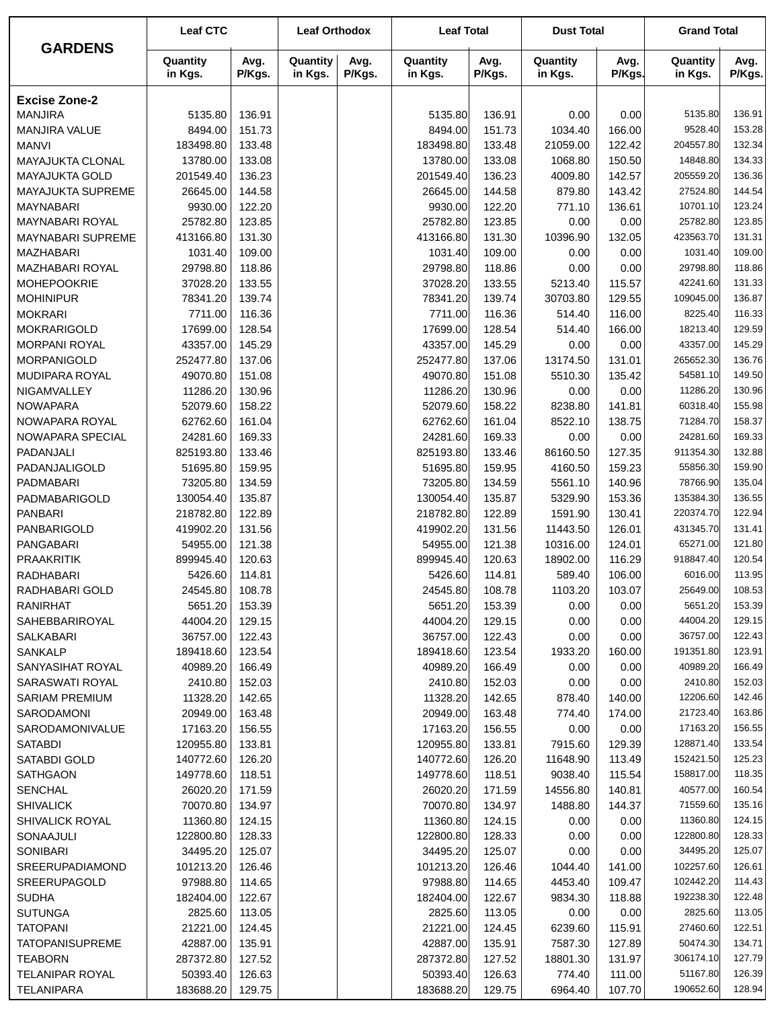| <b>GARDENS</b>                       | <b>Leaf CTC</b>       |                  | <b>Leaf Orthodox</b> |                | <b>Leaf Total</b>     |                  | <b>Dust Total</b>   |                  | <b>Grand Total</b>    |                  |
|--------------------------------------|-----------------------|------------------|----------------------|----------------|-----------------------|------------------|---------------------|------------------|-----------------------|------------------|
|                                      | Quantity<br>in Kgs.   | Avg.<br>P/Kgs.   | Quantity<br>in Kgs.  | Avg.<br>P/Kgs. | Quantity<br>in Kgs.   | Avg.<br>P/Kgs.   | Quantity<br>in Kgs. | Avg.<br>P/Kgs.   | Quantity<br>in Kgs.   | Avg.<br>P/Kgs.   |
| <b>Excise Zone-2</b>                 |                       |                  |                      |                |                       |                  |                     |                  |                       |                  |
| <b>MANJIRA</b>                       | 5135.80               | 136.91           |                      |                | 5135.80               | 136.91           | 0.00                | 0.00             | 5135.80               | 136.91           |
| MANJIRA VALUE                        | 8494.00               | 151.73           |                      |                | 8494.00               | 151.73           | 1034.40             | 166.00           | 9528.40               | 153.28           |
| <b>MANVI</b>                         | 183498.80             | 133.48           |                      |                | 183498.80             | 133.48           | 21059.00            | 122.42           | 204557.80             | 132.34           |
| MAYAJUKTA CLONAL                     | 13780.00              | 133.08           |                      |                | 13780.00              | 133.08           | 1068.80             | 150.50           | 14848.80              | 134.33           |
| MAYAJUKTA GOLD                       | 201549.40             | 136.23           |                      |                | 201549.40             | 136.23           | 4009.80             | 142.57           | 205559.20             | 136.36           |
| <b>MAYAJUKTA SUPREME</b>             | 26645.00              | 144.58           |                      |                | 26645.00              | 144.58           | 879.80              | 143.42           | 27524.80              | 144.54           |
| <b>MAYNABARI</b>                     | 9930.00               | 122.20           |                      |                | 9930.00               | 122.20           | 771.10              | 136.61           | 10701.10              | 123.24           |
| MAYNABARI ROYAL                      | 25782.80              | 123.85           |                      |                | 25782.80              | 123.85           | 0.00                | 0.00             | 25782.80              | 123.85           |
| <b>MAYNABARI SUPREME</b>             | 413166.80             | 131.30           |                      |                | 413166.80             | 131.30           | 10396.90            | 132.05           | 423563.70             | 131.31           |
| <b>MAZHABARI</b>                     | 1031.40               | 109.00           |                      |                | 1031.40               | 109.00           | 0.00                | 0.00             | 1031.40               | 109.00           |
| <b>MAZHABARI ROYAL</b>               | 29798.80              | 118.86           |                      |                | 29798.80              | 118.86           | 0.00                | 0.00             | 29798.80              | 118.86           |
| <b>MOHEPOOKRIE</b>                   | 37028.20              | 133.55           |                      |                | 37028.20              | 133.55           | 5213.40             | 115.57           | 42241.60              | 131.33           |
| <b>MOHINIPUR</b>                     | 78341.20              | 139.74           |                      |                | 78341.20              | 139.74           | 30703.80            | 129.55           | 109045.00             | 136.87           |
| <b>MOKRARI</b>                       | 7711.00               | 116.36           |                      |                | 7711.00               | 116.36           | 514.40              | 116.00           | 8225.40               | 116.33           |
| <b>MOKRARIGOLD</b>                   | 17699.00              | 128.54<br>145.29 |                      |                | 17699.00              | 128.54           | 514.40              | 166.00           | 18213.40              | 129.59<br>145.29 |
| <b>MORPANI ROYAL</b>                 | 43357.00<br>252477.80 | 137.06           |                      |                | 43357.00<br>252477.80 | 145.29           | 0.00<br>13174.50    | 0.00             | 43357.00<br>265652.30 | 136.76           |
| <b>MORPANIGOLD</b><br>MUDIPARA ROYAL | 49070.80              | 151.08           |                      |                | 49070.80              | 137.06<br>151.08 | 5510.30             | 131.01<br>135.42 | 54581.10              | 149.50           |
| NIGAMVALLEY                          | 11286.20              | 130.96           |                      |                | 11286.20              | 130.96           | 0.00                | 0.00             | 11286.20              | 130.96           |
| <b>NOWAPARA</b>                      | 52079.60              | 158.22           |                      |                | 52079.60              | 158.22           | 8238.80             | 141.81           | 60318.40              | 155.98           |
| NOWAPARA ROYAL                       | 62762.60              | 161.04           |                      |                | 62762.60              | 161.04           | 8522.10             | 138.75           | 71284.70              | 158.37           |
| NOWAPARA SPECIAL                     | 24281.60              | 169.33           |                      |                | 24281.60              | 169.33           | 0.00                | 0.00             | 24281.60              | 169.33           |
| PADANJALI                            | 825193.80             | 133.46           |                      |                | 825193.80             | 133.46           | 86160.50            | 127.35           | 911354.30             | 132.88           |
| PADANJALIGOLD                        | 51695.80              | 159.95           |                      |                | 51695.80              | 159.95           | 4160.50             | 159.23           | 55856.30              | 159.90           |
| PADMABARI                            | 73205.80              | 134.59           |                      |                | 73205.80              | 134.59           | 5561.10             | 140.96           | 78766.90              | 135.04           |
| PADMABARIGOLD                        | 130054.40             | 135.87           |                      |                | 130054.40             | 135.87           | 5329.90             | 153.36           | 135384.30             | 136.55           |
| <b>PANBARI</b>                       | 218782.80             | 122.89           |                      |                | 218782.80             | 122.89           | 1591.90             | 130.41           | 220374.70             | 122.94           |
| PANBARIGOLD                          | 419902.20             | 131.56           |                      |                | 419902.20             | 131.56           | 11443.50            | 126.01           | 431345.70             | 131.41           |
| <b>PANGABARI</b>                     | 54955.00              | 121.38           |                      |                | 54955.00              | 121.38           | 10316.00            | 124.01           | 65271.00              | 121.80           |
| <b>PRAAKRITIK</b>                    | 899945.40             | 120.63           |                      |                | 899945.40             | 120.63           | 18902.00            | 116.29           | 918847.40             | 120.54           |
| RADHABARI                            | 5426.60               | 114.81           |                      |                | 5426.60               | 114.81           | 589.40              | 106.00           | 6016.00               | 113.95           |
| RADHABARI GOLD                       | 24545.80              | 108.78           |                      |                | 24545.80              | 108.78           | 1103.20             | 103.07           | 25649.00              | 108.53           |
| RANIRHAT                             | 5651.20               | 153.39           |                      |                | 5651.20               | 153.39           | 0.00                | 0.00             | 5651.20               | 153.39           |
| SAHEBBARIROYAL                       | 44004.20              | 129.15           |                      |                | 44004.20              | 129.15           | 0.00                | 0.00             | 44004.20              | 129.15           |
| SALKABARI                            | 36757.00              | 122.43           |                      |                | 36757.00              | 122.43           | 0.00                | 0.00             | 36757.00              | 122.43           |
| <b>SANKALP</b>                       | 189418.60             | 123.54           |                      |                | 189418.60             | 123.54           | 1933.20             | 160.00           | 191351.80             | 123.91           |
| SANYASIHAT ROYAL                     | 40989.20              | 166.49           |                      |                | 40989.20              | 166.49           | 0.00                | 0.00             | 40989.20              | 166.49           |
| SARASWATI ROYAL                      | 2410.80               | 152.03           |                      |                | 2410.80               | 152.03           | 0.00                | 0.00             | 2410.80               | 152.03           |
| <b>SARIAM PREMIUM</b>                | 11328.20              | 142.65           |                      |                | 11328.20              | 142.65           | 878.40              | 140.00           | 12206.60              | 142.46           |
| SARODAMONI<br>SARODAMONIVALUE        | 20949.00<br>17163.20  | 163.48<br>156.55 |                      |                | 20949.00<br>17163.20  | 163.48<br>156.55 | 774.40<br>0.00      | 174.00<br>0.00   | 21723.40<br>17163.20  | 163.86<br>156.55 |
| SATABDI                              | 120955.80             | 133.81           |                      |                | 120955.80             | 133.81           | 7915.60             | 129.39           | 128871.40             | 133.54           |
| SATABDI GOLD                         | 140772.60             | 126.20           |                      |                | 140772.60             | 126.20           | 11648.90            | 113.49           | 152421.50             | 125.23           |
| <b>SATHGAON</b>                      | 149778.60             | 118.51           |                      |                | 149778.60             | 118.51           | 9038.40             | 115.54           | 158817.00             | 118.35           |
| <b>SENCHAL</b>                       | 26020.20              | 171.59           |                      |                | 26020.20              | 171.59           | 14556.80            | 140.81           | 40577.00              | 160.54           |
| <b>SHIVALICK</b>                     | 70070.80              | 134.97           |                      |                | 70070.80              | 134.97           | 1488.80             | 144.37           | 71559.60              | 135.16           |
| SHIVALICK ROYAL                      | 11360.80              | 124.15           |                      |                | 11360.80              | 124.15           | 0.00                | 0.00             | 11360.80              | 124.15           |
| SONAAJULI                            | 122800.80             | 128.33           |                      |                | 122800.80             | 128.33           | 0.00                | 0.00             | 122800.80             | 128.33           |
| <b>SONIBARI</b>                      | 34495.20              | 125.07           |                      |                | 34495.20              | 125.07           | 0.00                | 0.00             | 34495.20              | 125.07           |
| SREERUPADIAMOND                      | 101213.20             | 126.46           |                      |                | 101213.20             | 126.46           | 1044.40             | 141.00           | 102257.60             | 126.61           |
| SREERUPAGOLD                         | 97988.80              | 114.65           |                      |                | 97988.80              | 114.65           | 4453.40             | 109.47           | 102442.20             | 114.43           |
| <b>SUDHA</b>                         | 182404.00             | 122.67           |                      |                | 182404.00             | 122.67           | 9834.30             | 118.88           | 192238.30             | 122.48           |
| <b>SUTUNGA</b>                       | 2825.60               | 113.05           |                      |                | 2825.60               | 113.05           | 0.00                | 0.00             | 2825.60               | 113.05           |
| <b>TATOPANI</b>                      | 21221.00              | 124.45           |                      |                | 21221.00              | 124.45           | 6239.60             | 115.91           | 27460.60              | 122.51           |
| <b>TATOPANISUPREME</b>               | 42887.00              | 135.91           |                      |                | 42887.00              | 135.91           | 7587.30             | 127.89           | 50474.30              | 134.71           |
| <b>TEABORN</b>                       | 287372.80             | 127.52           |                      |                | 287372.80             | 127.52           | 18801.30            | 131.97           | 306174.10             | 127.79           |
| <b>TELANIPAR ROYAL</b>               | 50393.40              | 126.63           |                      |                | 50393.40              | 126.63           | 774.40              | 111.00           | 51167.80              | 126.39           |
| <b>TELANIPARA</b>                    | 183688.20             | 129.75           |                      |                | 183688.20             | 129.75           | 6964.40             | 107.70           | 190652.60             | 128.94           |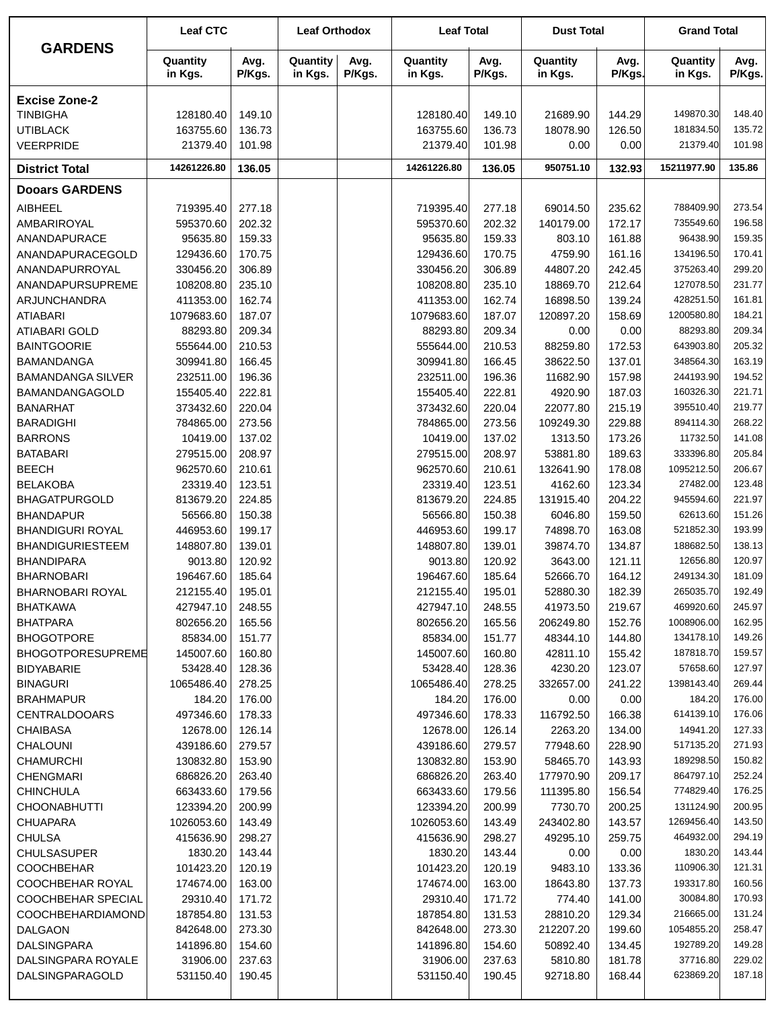|                                         | <b>Leaf CTC</b>       |                  | <b>Leaf Orthodox</b> |                | <b>Leaf Total</b>     |                  | <b>Dust Total</b>   |                  | <b>Grand Total</b>     |                  |
|-----------------------------------------|-----------------------|------------------|----------------------|----------------|-----------------------|------------------|---------------------|------------------|------------------------|------------------|
| <b>GARDENS</b>                          | Quantity<br>in Kgs.   | Avg.<br>P/Kgs.   | Quantity<br>in Kgs.  | Avg.<br>P/Kgs. | Quantity<br>in Kgs.   | Avg.<br>P/Kgs.   | Quantity<br>in Kgs. | Avg.<br>P/Kgs.   | Quantity<br>in Kgs.    | Avg.<br>P/Kgs.   |
| <b>Excise Zone-2</b>                    |                       |                  |                      |                |                       |                  |                     |                  |                        |                  |
| <b>TINBIGHA</b>                         | 128180.40             | 149.10           |                      |                | 128180.40             | 149.10           | 21689.90            | 144.29           | 149870.30              | 148.40           |
| <b>UTIBLACK</b>                         | 163755.60             | 136.73           |                      |                | 163755.60             | 136.73           | 18078.90            | 126.50           | 181834.50              | 135.72           |
| <b>VEERPRIDE</b>                        | 21379.40              | 101.98           |                      |                | 21379.40              | 101.98           | 0.00                | 0.00             | 21379.40               | 101.98           |
| <b>District Total</b>                   | 14261226.80           | 136.05           |                      |                | 14261226.80           | 136.05           | 950751.10           | 132.93           | 15211977.90            | 135.86           |
| <b>Dooars GARDENS</b>                   |                       |                  |                      |                |                       |                  |                     |                  |                        |                  |
| <b>AIBHEEL</b>                          | 719395.40             | 277.18           |                      |                | 719395.40             | 277.18           | 69014.50            | 235.62           | 788409.90              | 273.54           |
| AMBARIROYAL                             | 595370.60             | 202.32           |                      |                | 595370.60             | 202.32           | 140179.00           | 172.17           | 735549.60              | 196.58           |
| ANANDAPURACE                            | 95635.80              | 159.33           |                      |                | 95635.80              | 159.33           | 803.10              | 161.88           | 96438.90               | 159.35           |
| ANANDAPURACEGOLD                        | 129436.60             | 170.75           |                      |                | 129436.60             | 170.75           | 4759.90             | 161.16           | 134196.50              | 170.41           |
| ANANDAPURROYAL                          | 330456.20             | 306.89           |                      |                | 330456.20             | 306.89           | 44807.20            | 242.45           | 375263.40              | 299.20           |
| ANANDAPURSUPREME                        | 108208.80             | 235.10           |                      |                | 108208.80             | 235.10           | 18869.70            | 212.64           | 127078.50              | 231.77           |
| ARJUNCHANDRA                            | 411353.00             | 162.74           |                      |                | 411353.00             | 162.74           | 16898.50            | 139.24           | 428251.50              | 161.81           |
| <b>ATIABARI</b>                         | 1079683.60            | 187.07           |                      |                | 1079683.60            | 187.07           | 120897.20           | 158.69           | 1200580.80             | 184.21           |
| <b>ATIABARI GOLD</b>                    | 88293.80              | 209.34           |                      |                | 88293.80              | 209.34           | 0.00                | 0.00             | 88293.80               | 209.34           |
| <b>BAINTGOORIE</b>                      | 555644.00             | 210.53           |                      |                | 555644.00             | 210.53           | 88259.80            | 172.53           | 643903.80              | 205.32           |
| <b>BAMANDANGA</b>                       | 309941.80             | 166.45           |                      |                | 309941.80             | 166.45           | 38622.50            | 137.01           | 348564.30              | 163.19           |
| <b>BAMANDANGA SILVER</b>                | 232511.00             | 196.36           |                      |                | 232511.00             | 196.36           | 11682.90            | 157.98           | 244193.90              | 194.52           |
| BAMANDANGAGOLD                          | 155405.40             | 222.81           |                      |                | 155405.40             | 222.81           | 4920.90             | 187.03           | 160326.30              | 221.71           |
| <b>BANARHAT</b>                         | 373432.60             | 220.04           |                      |                | 373432.60             | 220.04           | 22077.80            | 215.19           | 395510.40<br>894114.30 | 219.77<br>268.22 |
| <b>BARADIGHI</b>                        | 784865.00             | 273.56           |                      |                | 784865.00             | 273.56           | 109249.30           | 229.88           | 11732.50               | 141.08           |
| <b>BARRONS</b><br><b>BATABARI</b>       | 10419.00<br>279515.00 | 137.02<br>208.97 |                      |                | 10419.00<br>279515.00 | 137.02<br>208.97 | 1313.50<br>53881.80 | 173.26<br>189.63 | 333396.80              | 205.84           |
| <b>BEECH</b>                            | 962570.60             | 210.61           |                      |                | 962570.60             | 210.61           | 132641.90           | 178.08           | 1095212.50             | 206.67           |
| <b>BELAKOBA</b>                         | 23319.40              | 123.51           |                      |                | 23319.40              | 123.51           | 4162.60             | 123.34           | 27482.00               | 123.48           |
| <b>BHAGATPURGOLD</b>                    | 813679.20             | 224.85           |                      |                | 813679.20             | 224.85           | 131915.40           | 204.22           | 945594.60              | 221.97           |
| <b>BHANDAPUR</b>                        | 56566.80              | 150.38           |                      |                | 56566.80              | 150.38           | 6046.80             | 159.50           | 62613.60               | 151.26           |
| <b>BHANDIGURI ROYAL</b>                 | 446953.60             | 199.17           |                      |                | 446953.60             | 199.17           | 74898.70            | 163.08           | 521852.30              | 193.99           |
| <b>BHANDIGURIESTEEM</b>                 | 148807.80             | 139.01           |                      |                | 148807.80             | 139.01           | 39874.70            | 134.87           | 188682.50              | 138.13           |
| <b>BHANDIPARA</b>                       | 9013.80               | 120.92           |                      |                | 9013.80               | 120.92           | 3643.00             | 121.11           | 12656.80               | 120.97           |
| <b>BHARNOBARI</b>                       | 196467.60             | 185.64           |                      |                | 196467.60             | 185.64           | 52666.70            | 164.12           | 249134.30              | 181.09           |
| BHARNOBARI ROYAL                        | 212155.40             | 195.01           |                      |                | 212155.40             | 195.01           | 52880.30            | 182.39           | 265035.70              | 192.49           |
| <b>BHATKAWA</b>                         | 427947.10             | 248.55           |                      |                | 427947.10             | 248.55           | 41973.50            | 219.67           | 469920.60              | 245.97           |
| <b>BHATPARA</b>                         | 802656.20             | 165.56           |                      |                | 802656.20             | 165.56           | 206249.80           | 152.76           | 1008906.00             | 162.95           |
| <b>BHOGOTPORE</b>                       | 85834.00              | 151.77           |                      |                | 85834.00              | 151.77           | 48344.10            | 144.80           | 134178.10              | 149.26           |
| <b>BHOGOTPORESUPREME</b>                | 145007.60             | 160.80           |                      |                | 145007.60             | 160.80           | 42811.10            | 155.42           | 187818.70              | 159.57           |
| <b>BIDYABARIE</b>                       | 53428.40              | 128.36           |                      |                | 53428.40              | 128.36           | 4230.20             | 123.07           | 57658.60               | 127.97           |
| <b>BINAGURI</b>                         | 1065486.40            | 278.25           |                      |                | 1065486.40            | 278.25           | 332657.00           | 241.22           | 1398143.40             | 269.44           |
| <b>BRAHMAPUR</b>                        | 184.20                | 176.00           |                      |                | 184.20                | 176.00           | 0.00                | 0.00             | 184.20                 | 176.00           |
| <b>CENTRALDOOARS</b>                    | 497346.60             | 178.33           |                      |                | 497346.60             | 178.33           | 116792.50           | 166.38           | 614139.10              | 176.06           |
| <b>CHAIBASA</b>                         | 12678.00              | 126.14           |                      |                | 12678.00              | 126.14           | 2263.20             | 134.00           | 14941.20               | 127.33           |
| <b>CHALOUNI</b>                         | 439186.60             | 279.57           |                      |                | 439186.60             | 279.57           | 77948.60            | 228.90           | 517135.20              | 271.93           |
| <b>CHAMURCHI</b>                        | 130832.80             | 153.90           |                      |                | 130832.80             | 153.90           | 58465.70            | 143.93           | 189298.50              | 150.82           |
| <b>CHENGMARI</b>                        | 686826.20             | 263.40           |                      |                | 686826.20             | 263.40           | 177970.90           | 209.17           | 864797.10              | 252.24           |
| <b>CHINCHULA</b>                        | 663433.60             | 179.56           |                      |                | 663433.60             | 179.56           | 111395.80           | 156.54           | 774829.40              | 176.25           |
| <b>CHOONABHUTTI</b>                     | 123394.20             | 200.99           |                      |                | 123394.20             | 200.99           | 7730.70             | 200.25           | 131124.90              | 200.95           |
| <b>CHUAPARA</b>                         | 1026053.60            | 143.49           |                      |                | 1026053.60            | 143.49           | 243402.80           | 143.57           | 1269456.40             | 143.50           |
| <b>CHULSA</b>                           | 415636.90             | 298.27           |                      |                | 415636.90             | 298.27           | 49295.10            | 259.75           | 464932.00              | 294.19           |
| <b>CHULSASUPER</b><br><b>COOCHBEHAR</b> | 1830.20<br>101423.20  | 143.44<br>120.19 |                      |                | 1830.20<br>101423.20  | 143.44<br>120.19 | 0.00<br>9483.10     | 0.00<br>133.36   | 1830.20<br>110906.30   | 143.44<br>121.31 |
| COOCHBEHAR ROYAL                        |                       |                  |                      |                |                       |                  |                     |                  | 193317.80              | 160.56           |
| COOCHBEHAR SPECIAL                      | 174674.00<br>29310.40 | 163.00<br>171.72 |                      |                | 174674.00<br>29310.40 | 163.00<br>171.72 | 18643.80<br>774.40  | 137.73<br>141.00 | 30084.80               | 170.93           |
| <b>COOCHBEHARDIAMOND</b>                | 187854.80             | 131.53           |                      |                | 187854.80             | 131.53           | 28810.20            | 129.34           | 216665.00              | 131.24           |
| <b>DALGAON</b>                          | 842648.00             | 273.30           |                      |                | 842648.00             | 273.30           | 212207.20           | 199.60           | 1054855.20             | 258.47           |
| <b>DALSINGPARA</b>                      | 141896.80             | 154.60           |                      |                | 141896.80             | 154.60           | 50892.40            | 134.45           | 192789.20              | 149.28           |
| DALSINGPARA ROYALE                      | 31906.00              | 237.63           |                      |                | 31906.00              | 237.63           | 5810.80             | 181.78           | 37716.80               | 229.02           |
| DALSINGPARAGOLD                         | 531150.40             | 190.45           |                      |                | 531150.40             | 190.45           | 92718.80            | 168.44           | 623869.20              | 187.18           |
|                                         |                       |                  |                      |                |                       |                  |                     |                  |                        |                  |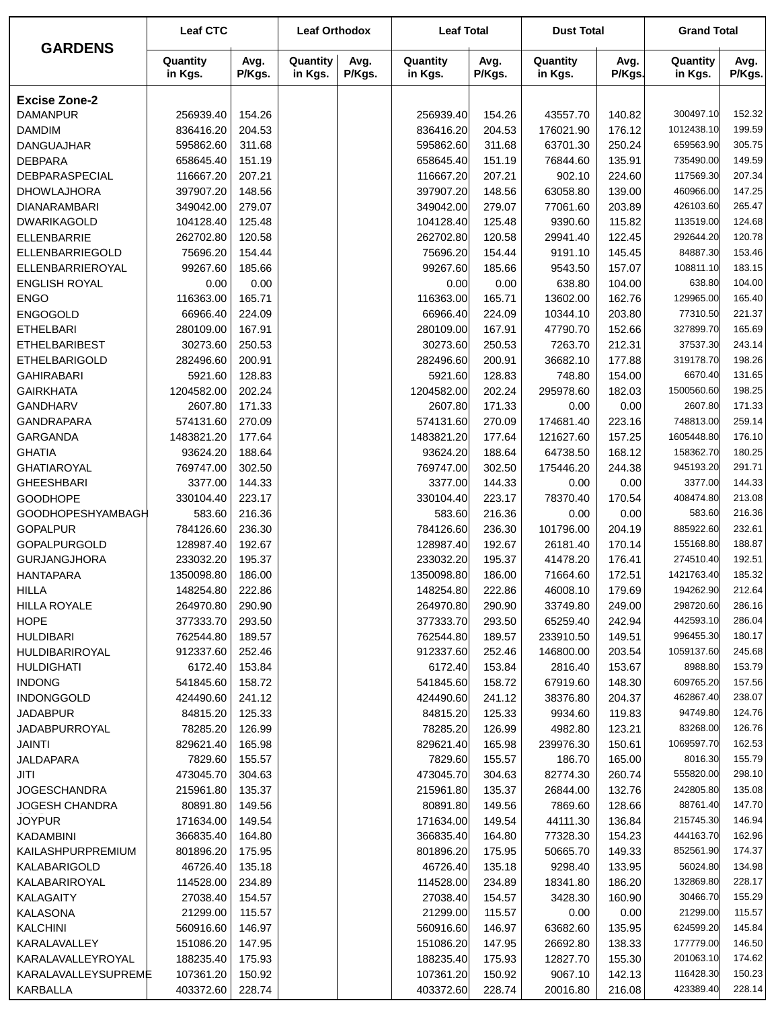|                          | <b>Leaf CTC</b>     |                | <b>Leaf Orthodox</b> |                | <b>Leaf Total</b>   |                | <b>Dust Total</b>   |                | <b>Grand Total</b>  |                |
|--------------------------|---------------------|----------------|----------------------|----------------|---------------------|----------------|---------------------|----------------|---------------------|----------------|
| <b>GARDENS</b>           | Quantity<br>in Kgs. | Avg.<br>P/Kgs. | Quantity<br>in Kgs.  | Avg.<br>P/Kgs. | Quantity<br>in Kgs. | Avg.<br>P/Kgs. | Quantity<br>in Kgs. | Avg.<br>P/Kgs. | Quantity<br>in Kgs. | Avg.<br>P/Kgs. |
| <b>Excise Zone-2</b>     |                     |                |                      |                |                     |                |                     |                |                     |                |
| <b>DAMANPUR</b>          | 256939.40           | 154.26         |                      |                | 256939.40           | 154.26         | 43557.70            | 140.82         | 300497.10           | 152.32         |
| <b>DAMDIM</b>            | 836416.20           | 204.53         |                      |                | 836416.20           | 204.53         | 176021.90           | 176.12         | 1012438.10          | 199.59         |
| <b>DANGUAJHAR</b>        | 595862.60           | 311.68         |                      |                | 595862.60           | 311.68         | 63701.30            | 250.24         | 659563.90           | 305.75         |
| <b>DEBPARA</b>           | 658645.40           | 151.19         |                      |                | 658645.40           | 151.19         | 76844.60            | 135.91         | 735490.00           | 149.59         |
| DEBPARASPECIAL           | 116667.20           | 207.21         |                      |                | 116667.20           | 207.21         | 902.10              | 224.60         | 117569.30           | 207.34         |
| <b>DHOWLAJHORA</b>       | 397907.20           | 148.56         |                      |                | 397907.20           | 148.56         | 63058.80            | 139.00         | 460966.00           | 147.25         |
| <b>DIANARAMBARI</b>      | 349042.00           | 279.07         |                      |                | 349042.00           | 279.07         | 77061.60            | 203.89         | 426103.60           | 265.47         |
| <b>DWARIKAGOLD</b>       | 104128.40           | 125.48         |                      |                | 104128.40           | 125.48         | 9390.60             | 115.82         | 113519.00           | 124.68         |
| <b>ELLENBARRIE</b>       | 262702.80           | 120.58         |                      |                | 262702.80           | 120.58         | 29941.40            | 122.45         | 292644.20           | 120.78         |
| ELLENBARRIEGOLD          | 75696.20            | 154.44         |                      |                | 75696.20            | 154.44         | 9191.10             | 145.45         | 84887.30            | 153.46         |
| ELLENBARRIEROYAL         | 99267.60            | 185.66         |                      |                | 99267.60            | 185.66         | 9543.50             | 157.07         | 108811.10           | 183.15         |
| <b>ENGLISH ROYAL</b>     | 0.00                | 0.00           |                      |                | 0.00                | 0.00           | 638.80              | 104.00         | 638.80              | 104.00         |
| <b>ENGO</b>              | 116363.00           | 165.71         |                      |                | 116363.00           | 165.71         | 13602.00            | 162.76         | 129965.00           | 165.40         |
| <b>ENGOGOLD</b>          | 66966.40            | 224.09         |                      |                | 66966.40            | 224.09         | 10344.10            | 203.80         | 77310.50            | 221.37         |
| <b>ETHELBARI</b>         | 280109.00           | 167.91         |                      |                | 280109.00           | 167.91         | 47790.70            | 152.66         | 327899.70           | 165.69         |
| <b>ETHELBARIBEST</b>     | 30273.60            | 250.53         |                      |                | 30273.60            | 250.53         | 7263.70             | 212.31         | 37537.30            | 243.14         |
| <b>ETHELBARIGOLD</b>     | 282496.60           | 200.91         |                      |                | 282496.60           | 200.91         | 36682.10            | 177.88         | 319178.70           | 198.26         |
| <b>GAHIRABARI</b>        | 5921.60             | 128.83         |                      |                | 5921.60             | 128.83         | 748.80              | 154.00         | 6670.40             | 131.65         |
| <b>GAIRKHATA</b>         | 1204582.00          | 202.24         |                      |                | 1204582.00          | 202.24         | 295978.60           | 182.03         | 1500560.60          | 198.25         |
| <b>GANDHARV</b>          | 2607.80             | 171.33         |                      |                | 2607.80             | 171.33         | 0.00                | 0.00           | 2607.80             | 171.33         |
| <b>GANDRAPARA</b>        | 574131.60           | 270.09         |                      |                | 574131.60           | 270.09         | 174681.40           | 223.16         | 748813.00           | 259.14         |
| GARGANDA                 | 1483821.20          | 177.64         |                      |                | 1483821.20          | 177.64         | 121627.60           | 157.25         | 1605448.80          | 176.10         |
| <b>GHATIA</b>            | 93624.20            | 188.64         |                      |                | 93624.20            | 188.64         | 64738.50            | 168.12         | 158362.70           | 180.25         |
| <b>GHATIAROYAL</b>       | 769747.00           | 302.50         |                      |                | 769747.00           | 302.50         | 175446.20           | 244.38         | 945193.20           | 291.71         |
| <b>GHEESHBARI</b>        | 3377.00             | 144.33         |                      |                | 3377.00             | 144.33         | 0.00                | 0.00           | 3377.00             | 144.33         |
| <b>GOODHOPE</b>          | 330104.40           | 223.17         |                      |                | 330104.40           | 223.17         | 78370.40            | 170.54         | 408474.80           | 213.08         |
| <b>GOODHOPESHYAMBAGH</b> | 583.60              | 216.36         |                      |                | 583.60              | 216.36         | 0.00                | 0.00           | 583.60              | 216.36         |
| <b>GOPALPUR</b>          | 784126.60           | 236.30         |                      |                | 784126.60           | 236.30         | 101796.00           | 204.19         | 885922.60           | 232.61         |
| GOPALPURGOLD             | 128987.40           | 192.67         |                      |                | 128987.40           | 192.67         | 26181.40            | 170.14         | 155168.80           | 188.87         |
| <b>GURJANGJHORA</b>      | 233032.20           | 195.37         |                      |                | 233032.20           | 195.37         | 41478.20            | 176.41         | 274510.40           | 192.51         |
| <b>HANTAPARA</b>         | 1350098.80          | 186.00         |                      |                | 1350098.80          | 186.00         | 71664.60            | 172.51         | 1421763.40          | 185.32         |
| <b>HILLA</b>             | 148254.80           | 222.86         |                      |                | 148254.80           | 222.86         | 46008.10            | 179.69         | 194262.90           | 212.64         |
| <b>HILLA ROYALE</b>      | 264970.80           | 290.90         |                      |                | 264970.80           | 290.90         | 33749.80            | 249.00         | 298720.60           | 286.16         |
| <b>HOPE</b>              | 377333.70           | 293.50         |                      |                | 377333.70           | 293.50         | 65259.40            | 242.94         | 442593.10           | 286.04         |
| <b>HULDIBARI</b>         | 762544.80           | 189.57         |                      |                | 762544.80           | 189.57         | 233910.50           | 149.51         | 996455.30           | 180.17         |
| HULDIBARIROYAL           | 912337.60           | 252.46         |                      |                | 912337.60           | 252.46         | 146800.00           | 203.54         | 1059137.60          | 245.68         |
| <b>HULDIGHATI</b>        | 6172.40             | 153.84         |                      |                | 6172.40             | 153.84         | 2816.40             | 153.67         | 8988.80             | 153.79         |
| <b>INDONG</b>            | 541845.60           | 158.72         |                      |                | 541845.60           | 158.72         | 67919.60            | 148.30         | 609765.20           | 157.56         |
| <b>INDONGGOLD</b>        | 424490.60           | 241.12         |                      |                | 424490.60           | 241.12         | 38376.80            | 204.37         | 462867.40           | 238.07         |
| <b>JADABPUR</b>          | 84815.20            | 125.33         |                      |                | 84815.20            | 125.33         | 9934.60             | 119.83         | 94749.80            | 124.76         |
| JADABPURROYAL            | 78285.20            | 126.99         |                      |                | 78285.20            | 126.99         | 4982.80             | 123.21         | 83268.00            | 126.76         |
| JAINTI                   | 829621.40           | 165.98         |                      |                | 829621.40           | 165.98         | 239976.30           | 150.61         | 1069597.70          | 162.53         |
| JALDAPARA                | 7829.60             | 155.57         |                      |                | 7829.60             | 155.57         | 186.70              | 165.00         | 8016.30             | 155.79         |
| JITI                     | 473045.70           | 304.63         |                      |                | 473045.70           | 304.63         | 82774.30            | 260.74         | 555820.00           | 298.10         |
| <b>JOGESCHANDRA</b>      | 215961.80           | 135.37         |                      |                | 215961.80           | 135.37         | 26844.00            | 132.76         | 242805.80           | 135.08         |
| <b>JOGESH CHANDRA</b>    | 80891.80            | 149.56         |                      |                | 80891.80            | 149.56         | 7869.60             | 128.66         | 88761.40            | 147.70         |
| <b>JOYPUR</b>            | 171634.00           | 149.54         |                      |                | 171634.00           | 149.54         | 44111.30            | 136.84         | 215745.30           | 146.94         |
| <b>KADAMBINI</b>         | 366835.40           | 164.80         |                      |                | 366835.40           | 164.80         | 77328.30            | 154.23         | 444163.70           | 162.96         |
| KAILASHPURPREMIUM        | 801896.20           | 175.95         |                      |                | 801896.20           | 175.95         | 50665.70            | 149.33         | 852561.90           | 174.37         |
| KALABARIGOLD             | 46726.40            | 135.18         |                      |                | 46726.40            | 135.18         | 9298.40             | 133.95         | 56024.80            | 134.98         |
| KALABARIROYAL            | 114528.00           | 234.89         |                      |                | 114528.00           | 234.89         | 18341.80            | 186.20         | 132869.80           | 228.17         |
| KALAGAITY                | 27038.40            | 154.57         |                      |                | 27038.40            | 154.57         | 3428.30             | 160.90         | 30466.70            | 155.29         |
| KALASONA                 | 21299.00            | 115.57         |                      |                | 21299.00            | 115.57         | 0.00                | 0.00           | 21299.00            | 115.57         |
| <b>KALCHINI</b>          | 560916.60           | 146.97         |                      |                | 560916.60           | 146.97         | 63682.60            | 135.95         | 624599.20           | 145.84         |
| KARALAVALLEY             | 151086.20           | 147.95         |                      |                | 151086.20           | 147.95         | 26692.80            | 138.33         | 177779.00           | 146.50         |
| KARALAVALLEYROYAL        | 188235.40           | 175.93         |                      |                | 188235.40           | 175.93         | 12827.70            | 155.30         | 201063.10           | 174.62         |
| KARALAVALLEYSUPREME      | 107361.20           | 150.92         |                      |                | 107361.20           | 150.92         | 9067.10             | 142.13         | 116428.30           | 150.23         |
| KARBALLA                 | 403372.60           | 228.74         |                      |                | 403372.60           | 228.74         | 20016.80            | 216.08         | 423389.40           | 228.14         |
|                          |                     |                |                      |                |                     |                |                     |                |                     |                |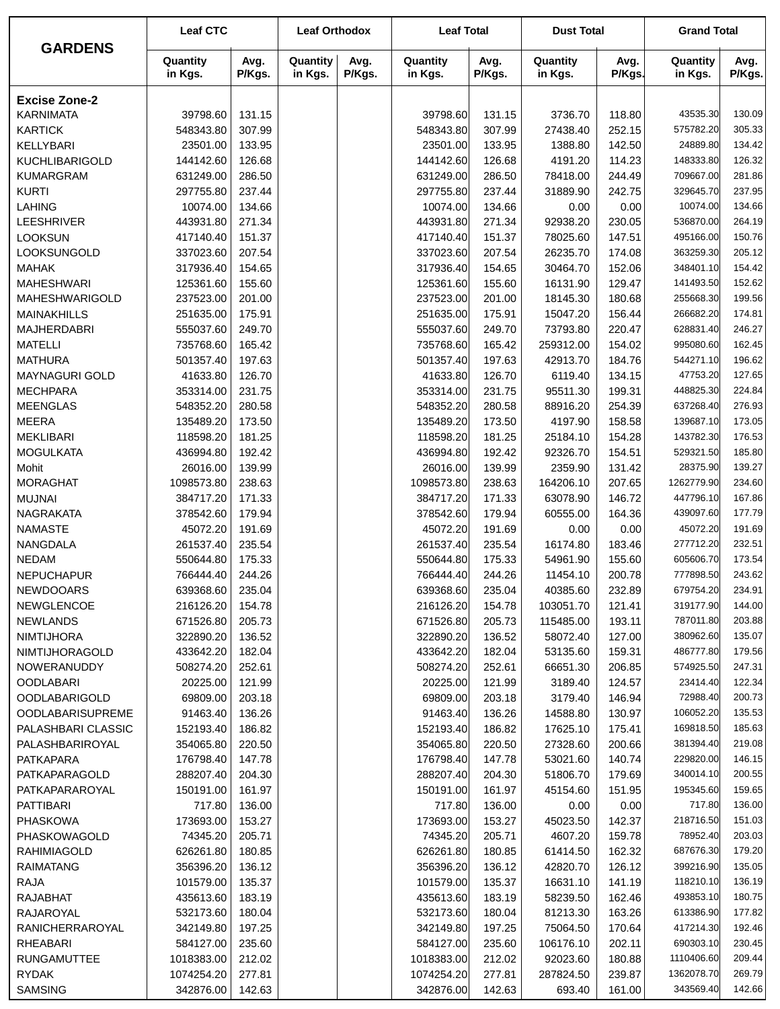|                         | <b>Leaf CTC</b>     |                | <b>Leaf Orthodox</b> |                | <b>Leaf Total</b>   |                | <b>Dust Total</b>   |                | <b>Grand Total</b>  |                |
|-------------------------|---------------------|----------------|----------------------|----------------|---------------------|----------------|---------------------|----------------|---------------------|----------------|
| <b>GARDENS</b>          | Quantity<br>in Kgs. | Avg.<br>P/Kgs. | Quantity<br>in Kgs.  | Avg.<br>P/Kgs. | Quantity<br>in Kgs. | Avg.<br>P/Kgs. | Quantity<br>in Kgs. | Avg.<br>P/Kgs. | Quantity<br>in Kgs. | Avg.<br>P/Kgs. |
| <b>Excise Zone-2</b>    |                     |                |                      |                |                     |                |                     |                |                     |                |
| <b>KARNIMATA</b>        | 39798.60            | 131.15         |                      |                | 39798.60            | 131.15         | 3736.70             | 118.80         | 43535.30            | 130.09         |
| <b>KARTICK</b>          | 548343.80           | 307.99         |                      |                | 548343.80           | 307.99         | 27438.40            | 252.15         | 575782.20           | 305.33         |
| KELLYBARI               | 23501.00            | 133.95         |                      |                | 23501.00            | 133.95         | 1388.80             | 142.50         | 24889.80            | 134.42         |
| <b>KUCHLIBARIGOLD</b>   | 144142.60           | 126.68         |                      |                | 144142.60           | 126.68         | 4191.20             | 114.23         | 148333.80           | 126.32         |
| <b>KUMARGRAM</b>        | 631249.00           | 286.50         |                      |                | 631249.00           | 286.50         | 78418.00            | 244.49         | 709667.00           | 281.86         |
| <b>KURTI</b>            | 297755.80           | 237.44         |                      |                | 297755.80           | 237.44         | 31889.90            | 242.75         | 329645.70           | 237.95         |
| <b>LAHING</b>           | 10074.00            | 134.66         |                      |                | 10074.00            | 134.66         | 0.00                | 0.00           | 10074.00            | 134.66         |
| LEESHRIVER              | 443931.80           | 271.34         |                      |                | 443931.80           | 271.34         | 92938.20            | 230.05         | 536870.00           | 264.19         |
| <b>LOOKSUN</b>          | 417140.40           | 151.37         |                      |                | 417140.40           | 151.37         | 78025.60            | 147.51         | 495166.00           | 150.76         |
| LOOKSUNGOLD             | 337023.60           | 207.54         |                      |                | 337023.60           | 207.54         | 26235.70            | 174.08         | 363259.30           | 205.12         |
| <b>MAHAK</b>            | 317936.40           | 154.65         |                      |                | 317936.40           | 154.65         | 30464.70            | 152.06         | 348401.10           | 154.42         |
| <b>MAHESHWARI</b>       | 125361.60           | 155.60         |                      |                | 125361.60           | 155.60         | 16131.90            | 129.47         | 141493.50           | 152.62         |
| <b>MAHESHWARIGOLD</b>   | 237523.00           | 201.00         |                      |                | 237523.00           | 201.00         | 18145.30            | 180.68         | 255668.30           | 199.56         |
| <b>MAINAKHILLS</b>      | 251635.00           | 175.91         |                      |                | 251635.00           | 175.91         | 15047.20            | 156.44         | 266682.20           | 174.81         |
| <b>MAJHERDABRI</b>      | 555037.60           | 249.70         |                      |                | 555037.60           | 249.70         | 73793.80            | 220.47         | 628831.40           | 246.27         |
| <b>MATELLI</b>          | 735768.60           | 165.42         |                      |                | 735768.60           | 165.42         | 259312.00           | 154.02         | 995080.60           | 162.45         |
| <b>MATHURA</b>          | 501357.40           | 197.63         |                      |                | 501357.40           | 197.63         | 42913.70            | 184.76         | 544271.10           | 196.62         |
| MAYNAGURI GOLD          | 41633.80            | 126.70         |                      |                | 41633.80            | 126.70         | 6119.40             | 134.15         | 47753.20            | 127.65         |
| <b>MECHPARA</b>         | 353314.00           | 231.75         |                      |                | 353314.00           | 231.75         | 95511.30            | 199.31         | 448825.30           | 224.84         |
| <b>MEENGLAS</b>         | 548352.20           | 280.58         |                      |                | 548352.20           | 280.58         | 88916.20            | 254.39         | 637268.40           | 276.93         |
| <b>MEERA</b>            | 135489.20           | 173.50         |                      |                | 135489.20           | 173.50         | 4197.90             | 158.58         | 139687.10           | 173.05         |
| <b>MEKLIBARI</b>        | 118598.20           | 181.25         |                      |                | 118598.20           | 181.25         | 25184.10            | 154.28         | 143782.30           | 176.53         |
| <b>MOGULKATA</b>        | 436994.80           | 192.42         |                      |                | 436994.80           | 192.42         | 92326.70            | 154.51         | 529321.50           | 185.80         |
| Mohit                   | 26016.00            | 139.99         |                      |                | 26016.00            | 139.99         | 2359.90             | 131.42         | 28375.90            | 139.27         |
| <b>MORAGHAT</b>         | 1098573.80          | 238.63         |                      |                | 1098573.80          | 238.63         | 164206.10           | 207.65         | 1262779.90          | 234.60         |
| <b>MUJNAI</b>           | 384717.20           | 171.33         |                      |                | 384717.20           | 171.33         | 63078.90            | 146.72         | 447796.10           | 167.86         |
| <b>NAGRAKATA</b>        | 378542.60           | 179.94         |                      |                | 378542.60           | 179.94         | 60555.00            | 164.36         | 439097.60           | 177.79         |
| <b>NAMASTE</b>          | 45072.20            | 191.69         |                      |                | 45072.20            | 191.69         | 0.00                | 0.00           | 45072.20            | 191.69         |
| NANGDALA                | 261537.40           | 235.54         |                      |                | 261537.40           | 235.54         | 16174.80            | 183.46         | 277712.20           | 232.51         |
| <b>NEDAM</b>            | 550644.80           | 175.33         |                      |                | 550644.80           | 175.33         | 54961.90            | 155.60         | 605606.70           | 173.54         |
| <b>NEPUCHAPUR</b>       | 766444.40           | 244.26         |                      |                | 766444.40           | 244.26         | 11454.10            | 200.78         | 777898.50           | 243.62         |
| <b>NEWDOOARS</b>        | 639368.60           | 235.04         |                      |                | 639368.60           | 235.04         | 40385.60            | 232.89         | 679754.20           | 234.91         |
| <b>NEWGLENCOE</b>       | 216126.20           | 154.78         |                      |                | 216126.20           | 154.78         | 103051.70           | 121.41         | 319177.90           | 144.00         |
| <b>NEWLANDS</b>         | 671526.80           | 205.73         |                      |                | 671526.80           | 205.73         | 115485.00           | 193.11         | 787011.80           | 203.88         |
| <b>NIMTIJHORA</b>       | 322890.20           | 136.52         |                      |                | 322890.20           | 136.52         | 58072.40            | 127.00         | 380962.60           | 135.07         |
| NIMTIJHORAGOLD          | 433642.20           | 182.04         |                      |                | 433642.20           | 182.04         | 53135.60            | 159.31         | 486777.80           | 179.56         |
| NOWERANUDDY             | 508274.20           | 252.61         |                      |                | 508274.20           | 252.61         | 66651.30            | 206.85         | 574925.50           | 247.31         |
| <b>OODLABARI</b>        | 20225.00            | 121.99         |                      |                | 20225.00            | 121.99         | 3189.40             | 124.57         | 23414.40            | 122.34         |
| <b>OODLABARIGOLD</b>    | 69809.00            | 203.18         |                      |                | 69809.00            | 203.18         | 3179.40             | 146.94         | 72988.40            | 200.73         |
| <b>OODLABARISUPREME</b> | 91463.40            | 136.26         |                      |                | 91463.40            | 136.26         | 14588.80            | 130.97         | 106052.20           | 135.53         |
| PALASHBARI CLASSIC      | 152193.40           | 186.82         |                      |                | 152193.40           | 186.82         | 17625.10            | 175.41         | 169818.50           | 185.63         |
| PALASHBARIROYAL         | 354065.80           | 220.50         |                      |                | 354065.80           | 220.50         | 27328.60            | 200.66         | 381394.40           | 219.08         |
| PATKAPARA               | 176798.40           | 147.78         |                      |                | 176798.40           | 147.78         | 53021.60            | 140.74         | 229820.00           | 146.15         |
| PATKAPARAGOLD           | 288207.40           | 204.30         |                      |                | 288207.40           | 204.30         | 51806.70            | 179.69         | 340014.10           | 200.55         |
| PATKAPARAROYAL          | 150191.00           | 161.97         |                      |                | 150191.00           | 161.97         | 45154.60            | 151.95         | 195345.60           | 159.65         |
| <b>PATTIBARI</b>        | 717.80              | 136.00         |                      |                | 717.80              | 136.00         | 0.00                | 0.00           | 717.80              | 136.00         |
| <b>PHASKOWA</b>         | 173693.00           | 153.27         |                      |                | 173693.00           | 153.27         | 45023.50            | 142.37         | 218716.50           | 151.03         |
| PHASKOWAGOLD            | 74345.20            | 205.71         |                      |                | 74345.20            | 205.71         | 4607.20             | 159.78         | 78952.40            | 203.03         |
| <b>RAHIMIAGOLD</b>      | 626261.80           | 180.85         |                      |                | 626261.80           | 180.85         | 61414.50            | 162.32         | 687676.30           | 179.20         |
| <b>RAIMATANG</b>        | 356396.20           | 136.12         |                      |                | 356396.20           | 136.12         | 42820.70            | 126.12         | 399216.90           | 135.05         |
| <b>RAJA</b>             | 101579.00           | 135.37         |                      |                | 101579.00           | 135.37         | 16631.10            | 141.19         | 118210.10           | 136.19         |
| <b>RAJABHAT</b>         | 435613.60           | 183.19         |                      |                | 435613.60           | 183.19         | 58239.50            | 162.46         | 493853.10           | 180.75         |
| RAJAROYAL               | 532173.60           | 180.04         |                      |                | 532173.60           | 180.04         | 81213.30            | 163.26         | 613386.90           | 177.82         |
| RANICHERRAROYAL         | 342149.80           | 197.25         |                      |                | 342149.80           | 197.25         | 75064.50            | 170.64         | 417214.30           | 192.46         |
| RHEABARI                | 584127.00           | 235.60         |                      |                | 584127.00           | 235.60         | 106176.10           | 202.11         | 690303.10           | 230.45         |
| <b>RUNGAMUTTEE</b>      | 1018383.00          | 212.02         |                      |                | 1018383.00          | 212.02         | 92023.60            | 180.88         | 1110406.60          | 209.44         |
| <b>RYDAK</b>            | 1074254.20          | 277.81         |                      |                | 1074254.20          | 277.81         | 287824.50           | 239.87         | 1362078.70          | 269.79         |
| <b>SAMSING</b>          | 342876.00           | 142.63         |                      |                | 342876.00           | 142.63         | 693.40              | 161.00         | 343569.40           | 142.66         |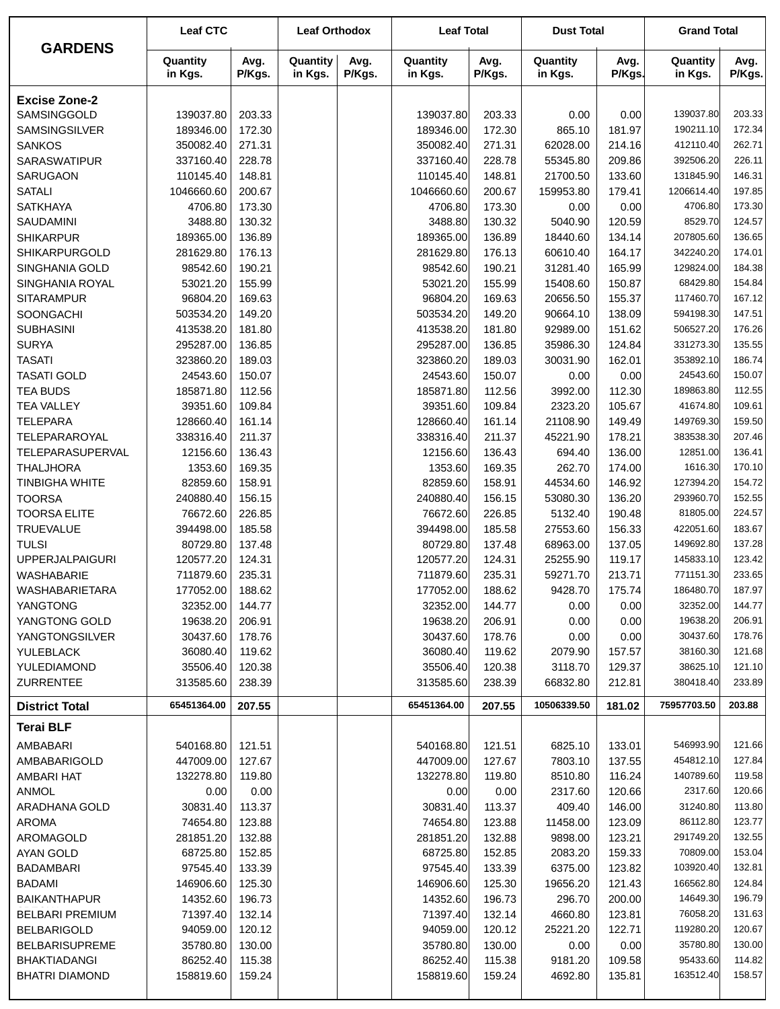| <b>GARDENS</b>                | <b>Leaf CTC</b>          |                  | <b>Leaf Orthodox</b> |                | <b>Leaf Total</b>        |                  | <b>Dust Total</b>       |                  | <b>Grand Total</b>       |                  |
|-------------------------------|--------------------------|------------------|----------------------|----------------|--------------------------|------------------|-------------------------|------------------|--------------------------|------------------|
|                               | Quantity<br>in Kgs.      | Avg.<br>P/Kgs.   | Quantity<br>in Kgs.  | Avg.<br>P/Kgs. | Quantity<br>in Kgs.      | Avg.<br>P/Kgs.   | Quantity<br>in Kgs.     | Avg.<br>P/Kgs.   | Quantity<br>in Kgs.      | Avg.<br>P/Kgs.   |
| <b>Excise Zone-2</b>          |                          |                  |                      |                |                          |                  |                         |                  |                          |                  |
| SAMSINGGOLD                   | 139037.80                | 203.33           |                      |                | 139037.80                | 203.33           | 0.00                    | 0.00             | 139037.80                | 203.33           |
| SAMSINGSILVER                 | 189346.00                | 172.30           |                      |                | 189346.00                | 172.30           | 865.10                  | 181.97           | 190211.10                | 172.34           |
| <b>SANKOS</b>                 | 350082.40                | 271.31           |                      |                | 350082.40                | 271.31           | 62028.00                | 214.16           | 412110.40                | 262.71           |
| <b>SARASWATIPUR</b>           | 337160.40                | 228.78           |                      |                | 337160.40                | 228.78           | 55345.80                | 209.86           | 392506.20                | 226.11           |
| SARUGAON                      | 110145.40                | 148.81           |                      |                | 110145.40                | 148.81           | 21700.50                | 133.60           | 131845.90                | 146.31           |
| <b>SATALI</b>                 | 1046660.60               | 200.67           |                      |                | 1046660.60               | 200.67           | 159953.80               | 179.41           | 1206614.40               | 197.85           |
| <b>SATKHAYA</b>               | 4706.80                  | 173.30           |                      |                | 4706.80                  | 173.30           | 0.00                    | 0.00             | 4706.80                  | 173.30           |
| SAUDAMINI                     | 3488.80                  | 130.32           |                      |                | 3488.80                  | 130.32           | 5040.90                 | 120.59           | 8529.70                  | 124.57           |
| <b>SHIKARPUR</b>              | 189365.00                | 136.89           |                      |                | 189365.00                | 136.89           | 18440.60                | 134.14           | 207805.60                | 136.65           |
| <b>SHIKARPURGOLD</b>          | 281629.80                | 176.13           |                      |                | 281629.80                | 176.13           | 60610.40                | 164.17           | 342240.20                | 174.01           |
| SINGHANIA GOLD                | 98542.60                 | 190.21           |                      |                | 98542.60                 | 190.21           | 31281.40                | 165.99           | 129824.00                | 184.38           |
| SINGHANIA ROYAL               | 53021.20                 | 155.99           |                      |                | 53021.20                 | 155.99           | 15408.60                | 150.87           | 68429.80                 | 154.84           |
| <b>SITARAMPUR</b>             | 96804.20                 | 169.63           |                      |                | 96804.20                 | 169.63           | 20656.50                | 155.37           | 117460.70<br>594198.30   | 167.12           |
| SOONGACHI                     | 503534.20                | 149.20<br>181.80 |                      |                | 503534.20                | 149.20           | 90664.10                | 138.09           | 506527.20                | 147.51<br>176.26 |
| <b>SUBHASINI</b>              | 413538.20                |                  |                      |                | 413538.20                | 181.80           | 92989.00<br>35986.30    | 151.62           | 331273.30                | 135.55           |
| <b>SURYA</b><br><b>TASATI</b> | 295287.00<br>323860.20   | 136.85<br>189.03 |                      |                | 295287.00<br>323860.20   | 136.85<br>189.03 | 30031.90                | 124.84<br>162.01 | 353892.10                | 186.74           |
| <b>TASATI GOLD</b>            | 24543.60                 | 150.07           |                      |                | 24543.60                 | 150.07           | 0.00                    | 0.00             | 24543.60                 | 150.07           |
| <b>TEA BUDS</b>               | 185871.80                | 112.56           |                      |                | 185871.80                | 112.56           | 3992.00                 | 112.30           | 189863.80                | 112.55           |
| <b>TEA VALLEY</b>             | 39351.60                 | 109.84           |                      |                | 39351.60                 | 109.84           | 2323.20                 | 105.67           | 41674.80                 | 109.61           |
| <b>TELEPARA</b>               | 128660.40                | 161.14           |                      |                | 128660.40                | 161.14           | 21108.90                | 149.49           | 149769.30                | 159.50           |
| TELEPARAROYAL                 | 338316.40                | 211.37           |                      |                | 338316.40                | 211.37           | 45221.90                | 178.21           | 383538.30                | 207.46           |
| TELEPARASUPERVAL              | 12156.60                 | 136.43           |                      |                | 12156.60                 | 136.43           | 694.40                  | 136.00           | 12851.00                 | 136.41           |
| <b>THALJHORA</b>              | 1353.60                  | 169.35           |                      |                | 1353.60                  | 169.35           | 262.70                  | 174.00           | 1616.30                  | 170.10           |
| <b>TINBIGHA WHITE</b>         | 82859.60                 | 158.91           |                      |                | 82859.60                 | 158.91           | 44534.60                | 146.92           | 127394.20                | 154.72           |
| <b>TOORSA</b>                 | 240880.40                | 156.15           |                      |                | 240880.40                | 156.15           | 53080.30                | 136.20           | 293960.70                | 152.55           |
| <b>TOORSA ELITE</b>           | 76672.60                 | 226.85           |                      |                | 76672.60                 | 226.85           | 5132.40                 | 190.48           | 81805.00                 | 224.57           |
| <b>TRUEVALUE</b>              | 394498.00                | 185.58           |                      |                | 394498.00                | 185.58           | 27553.60                | 156.33           | 422051.60                | 183.67           |
| <b>TULSI</b>                  | 80729.80                 | 137.48           |                      |                | 80729.80                 | 137.48           | 68963.00                | 137.05           | 149692.80                | 137.28           |
| <b>UPPERJALPAIGURI</b>        | 120577.20                | 124.31           |                      |                | 120577.20                | 124.31           | 25255.90                | 119.17           | 145833.10                | 123.42           |
| <b>WASHABARIE</b>             | 711879.60                | 235.31           |                      |                | 711879.60                | 235.31           | 59271.70                | 213.71           | 771151.30                | 233.65           |
| WASHABARIETARA                | 177052.00                | 188.62           |                      |                | 177052.00                | 188.62           | 9428.70                 | 175.74           | 186480.70                | 187.97           |
| YANGTONG                      | 32352.00                 | 144.77           |                      |                | 32352.00                 | 144.77           | 0.00                    | 0.00             | 32352.00                 | 144.77           |
| YANGTONG GOLD                 | 19638.20                 | 206.91           |                      |                | 19638.20                 | 206.91           | 0.00                    | 0.00             | 19638.20                 | 206.91           |
| <b>YANGTONGSILVER</b>         | 30437.60                 | 178.76           |                      |                | 30437.60                 | 178.76           | 0.00                    | 0.00             | 30437.60                 | 178.76           |
| YULEBLACK                     | 36080.40                 | 119.62           |                      |                | 36080.40                 | 119.62           | 2079.90                 | 157.57           | 38160.30                 | 121.68           |
| YULEDIAMOND                   | 35506.40                 | 120.38           |                      |                | 35506.40                 | 120.38           | 3118.70                 | 129.37           | 38625.10                 | 121.10           |
| <b>ZURRENTEE</b>              | 313585.60<br>65451364.00 | 238.39<br>207.55 |                      |                | 313585.60<br>65451364.00 | 238.39           | 66832.80<br>10506339.50 | 212.81<br>181.02 | 380418.40<br>75957703.50 | 233.89<br>203.88 |
| <b>District Total</b>         |                          |                  |                      |                |                          | 207.55           |                         |                  |                          |                  |
| <b>Terai BLF</b>              |                          |                  |                      |                |                          |                  |                         |                  |                          |                  |
| AMBABARI                      | 540168.80                | 121.51           |                      |                | 540168.80                | 121.51           | 6825.10                 | 133.01           | 546993.90                | 121.66           |
| AMBABARIGOLD                  | 447009.00                | 127.67           |                      |                | 447009.00                | 127.67           | 7803.10                 | 137.55           | 454812.10                | 127.84           |
| AMBARI HAT                    | 132278.80                | 119.80           |                      |                | 132278.80                | 119.80           | 8510.80                 | 116.24           | 140789.60                | 119.58           |
| <b>ANMOL</b>                  | 0.00                     | 0.00             |                      |                | 0.00                     | 0.00             | 2317.60                 | 120.66           | 2317.60                  | 120.66           |
| ARADHANA GOLD                 | 30831.40                 | 113.37           |                      |                | 30831.40                 | 113.37           | 409.40                  | 146.00           | 31240.80                 | 113.80           |
| <b>AROMA</b>                  | 74654.80                 | 123.88           |                      |                | 74654.80                 | 123.88           | 11458.00                | 123.09           | 86112.80                 | 123.77<br>132.55 |
| AROMAGOLD                     | 281851.20                | 132.88           |                      |                | 281851.20                | 132.88           | 9898.00                 | 123.21           | 291749.20<br>70809.00    | 153.04           |
| AYAN GOLD<br><b>BADAMBARI</b> | 68725.80<br>97545.40     | 152.85<br>133.39 |                      |                | 68725.80<br>97545.40     | 152.85<br>133.39 | 2083.20<br>6375.00      | 159.33<br>123.82 | 103920.40                | 132.81           |
| <b>BADAMI</b>                 | 146906.60                | 125.30           |                      |                | 146906.60                | 125.30           | 19656.20                | 121.43           | 166562.80                | 124.84           |
| <b>BAIKANTHAPUR</b>           | 14352.60                 | 196.73           |                      |                | 14352.60                 | 196.73           | 296.70                  | 200.00           | 14649.30                 | 196.79           |
| <b>BELBARI PREMIUM</b>        | 71397.40                 | 132.14           |                      |                | 71397.40                 | 132.14           | 4660.80                 | 123.81           | 76058.20                 | 131.63           |
| <b>BELBARIGOLD</b>            | 94059.00                 | 120.12           |                      |                | 94059.00                 | 120.12           | 25221.20                | 122.71           | 119280.20                | 120.67           |
| <b>BELBARISUPREME</b>         | 35780.80                 | 130.00           |                      |                | 35780.80                 | 130.00           | 0.00                    | 0.00             | 35780.80                 | 130.00           |
| <b>BHAKTIADANGI</b>           | 86252.40                 | 115.38           |                      |                | 86252.40                 | 115.38           | 9181.20                 | 109.58           | 95433.60                 | 114.82           |
| <b>BHATRI DIAMOND</b>         | 158819.60                | 159.24           |                      |                | 158819.60                | 159.24           | 4692.80                 | 135.81           | 163512.40                | 158.57           |
|                               |                          |                  |                      |                |                          |                  |                         |                  |                          |                  |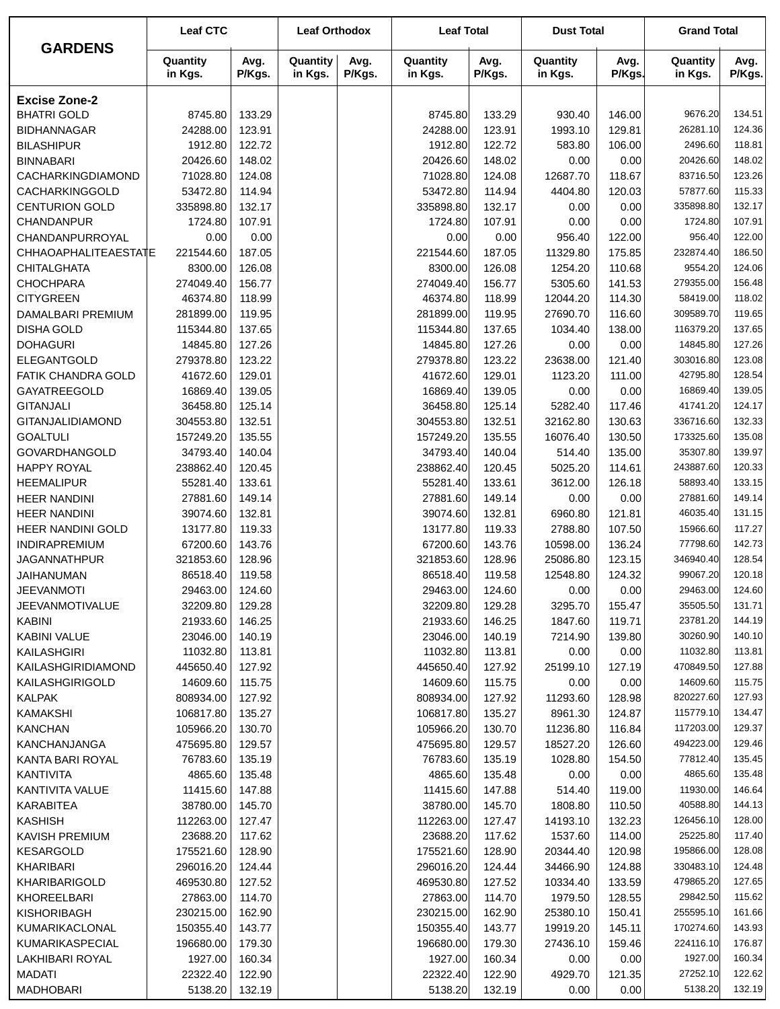|                         | <b>Leaf CTC</b>     |                | <b>Leaf Orthodox</b> |                | <b>Leaf Total</b>   |                | <b>Dust Total</b>   |                | <b>Grand Total</b>  |                |
|-------------------------|---------------------|----------------|----------------------|----------------|---------------------|----------------|---------------------|----------------|---------------------|----------------|
| <b>GARDENS</b>          | Quantity<br>in Kgs. | Avg.<br>P/Kgs. | Quantity<br>in Kgs.  | Avg.<br>P/Kgs. | Quantity<br>in Kgs. | Avg.<br>P/Kgs. | Quantity<br>in Kgs. | Avg.<br>P/Kgs. | Quantity<br>in Kgs. | Avg.<br>P/Kgs. |
| <b>Excise Zone-2</b>    |                     |                |                      |                |                     |                |                     |                |                     |                |
| <b>BHATRI GOLD</b>      | 8745.80             | 133.29         |                      |                | 8745.80             | 133.29         | 930.40              | 146.00         | 9676.20             | 134.51         |
| <b>BIDHANNAGAR</b>      | 24288.00            | 123.91         |                      |                | 24288.00            | 123.91         | 1993.10             | 129.81         | 26281.10            | 124.36         |
| <b>BILASHIPUR</b>       | 1912.80             | 122.72         |                      |                | 1912.80             | 122.72         | 583.80              | 106.00         | 2496.60             | 118.81         |
| <b>BINNABARI</b>        | 20426.60            | 148.02         |                      |                | 20426.60            | 148.02         | 0.00                | 0.00           | 20426.60            | 148.02         |
| CACHARKINGDIAMOND       | 71028.80            | 124.08         |                      |                | 71028.80            | 124.08         | 12687.70            | 118.67         | 83716.50            | 123.26         |
| CACHARKINGGOLD          | 53472.80            | 114.94         |                      |                | 53472.80            | 114.94         | 4404.80             | 120.03         | 57877.60            | 115.33         |
| <b>CENTURION GOLD</b>   | 335898.80           | 132.17         |                      |                | 335898.80           | 132.17         | 0.00                | 0.00           | 335898.80           | 132.17         |
| CHANDANPUR              | 1724.80             | 107.91         |                      |                | 1724.80             | 107.91         | 0.00                | 0.00           | 1724.80             | 107.91         |
| CHANDANPURROYAL         | 0.00                | 0.00           |                      |                | 0.00                | 0.00           | 956.40              | 122.00         | 956.40              | 122.00         |
| CHHAOAPHALITEAESTATE    | 221544.60           | 187.05         |                      |                | 221544.60           | 187.05         | 11329.80            | 175.85         | 232874.40           | 186.50         |
| <b>CHITALGHATA</b>      | 8300.00             | 126.08         |                      |                | 8300.00             | 126.08         | 1254.20             | 110.68         | 9554.20             | 124.06         |
| <b>CHOCHPARA</b>        | 274049.40           | 156.77         |                      |                | 274049.40           | 156.77         | 5305.60             | 141.53         | 279355.00           | 156.48         |
| <b>CITYGREEN</b>        | 46374.80            | 118.99         |                      |                | 46374.80            | 118.99         | 12044.20            | 114.30         | 58419.00            | 118.02         |
| DAMALBARI PREMIUM       | 281899.00           | 119.95         |                      |                | 281899.00           | 119.95         | 27690.70            | 116.60         | 309589.70           | 119.65         |
| <b>DISHA GOLD</b>       | 115344.80           | 137.65         |                      |                | 115344.80           | 137.65         | 1034.40             | 138.00         | 116379.20           | 137.65         |
| <b>DOHAGURI</b>         | 14845.80            | 127.26         |                      |                | 14845.80            | 127.26         | 0.00                | 0.00           | 14845.80            | 127.26         |
| ELEGANTGOLD             | 279378.80           | 123.22         |                      |                | 279378.80           | 123.22         | 23638.00            | 121.40         | 303016.80           | 123.08         |
| FATIK CHANDRA GOLD      | 41672.60            | 129.01         |                      |                | 41672.60            | 129.01         | 1123.20             | 111.00         | 42795.80            | 128.54         |
| GAYATREEGOLD            | 16869.40            | 139.05         |                      |                | 16869.40            | 139.05         | 0.00                | 0.00           | 16869.40            | 139.05         |
| <b>GITANJALI</b>        | 36458.80            | 125.14         |                      |                | 36458.80            | 125.14         | 5282.40             | 117.46         | 41741.20            | 124.17         |
| <b>GITANJALIDIAMOND</b> | 304553.80           | 132.51         |                      |                | 304553.80           | 132.51         | 32162.80            | 130.63         | 336716.60           | 132.33         |
| <b>GOALTULI</b>         | 157249.20           | 135.55         |                      |                | 157249.20           | 135.55         | 16076.40            | 130.50         | 173325.60           | 135.08         |
| <b>GOVARDHANGOLD</b>    | 34793.40            | 140.04         |                      |                | 34793.40            | 140.04         | 514.40              | 135.00         | 35307.80            | 139.97         |
| <b>HAPPY ROYAL</b>      | 238862.40           | 120.45         |                      |                | 238862.40           | 120.45         | 5025.20             | 114.61         | 243887.60           | 120.33         |
| <b>HEEMALIPUR</b>       | 55281.40            | 133.61         |                      |                | 55281.40            | 133.61         | 3612.00             | 126.18         | 58893.40            | 133.15         |
| <b>HEER NANDINI</b>     | 27881.60            | 149.14         |                      |                | 27881.60            | 149.14         | 0.00                | 0.00           | 27881.60            | 149.14         |
| <b>HEER NANDINI</b>     | 39074.60            | 132.81         |                      |                | 39074.60            | 132.81         | 6960.80             | 121.81         | 46035.40            | 131.15         |
| HEER NANDINI GOLD       | 13177.80            | 119.33         |                      |                | 13177.80            | 119.33         | 2788.80             | 107.50         | 15966.60            | 117.27         |
| INDIRAPREMIUM           | 67200.60            | 143.76         |                      |                | 67200.60            | 143.76         | 10598.00            | 136.24         | 77798.60            | 142.73         |
| <b>JAGANNATHPUR</b>     | 321853.60           | 128.96         |                      |                | 321853.60           | 128.96         | 25086.80            | 123.15         | 346940.40           | 128.54         |
| JAIHANUMAN              | 86518.40            | 119.58         |                      |                | 86518.40            | 119.58         | 12548.80            | 124.32         | 99067.20            | 120.18         |
| <b>JEEVANMOTI</b>       | 29463.00            | 124.60         |                      |                | 29463.00            | 124.60         | 0.00                | 0.00           | 29463.00            | 124.60         |
| <b>JEEVANMOTIVALUE</b>  | 32209.80            | 129.28         |                      |                | 32209.80            | 129.28         | 3295.70             | 155.47         | 35505.50            | 131.71         |
| <b>KABINI</b>           | 21933.60            | 146.25         |                      |                | 21933.60            | 146.25         | 1847.60             | 119.71         | 23781.20            | 144.19         |
| <b>KABINI VALUE</b>     | 23046.00            | 140.19         |                      |                | 23046.00            | 140.19         | 7214.90             | 139.80         | 30260.90            | 140.10         |
| KAILASHGIRI             | 11032.80            | 113.81         |                      |                | 11032.80            | 113.81         | 0.00                | 0.00           | 11032.80            | 113.81         |
| KAILASHGIRIDIAMOND      | 445650.40           | 127.92         |                      |                | 445650.40           | 127.92         | 25199.10            | 127.19         | 470849.50           | 127.88         |
| KAILASHGIRIGOLD         | 14609.60            | 115.75         |                      |                | 14609.60            | 115.75         | 0.00                | 0.00           | 14609.60            | 115.75         |
| <b>KALPAK</b>           | 808934.00           | 127.92         |                      |                | 808934.00           | 127.92         | 11293.60            | 128.98         | 820227.60           | 127.93         |
| <b>KAMAKSHI</b>         | 106817.80           | 135.27         |                      |                | 106817.80           | 135.27         | 8961.30             | 124.87         | 115779.10           | 134.47         |
| <b>KANCHAN</b>          | 105966.20           | 130.70         |                      |                | 105966.20           | 130.70         | 11236.80            | 116.84         | 117203.00           | 129.37         |
| KANCHANJANGA            | 475695.80           | 129.57         |                      |                | 475695.80           | 129.57         | 18527.20            | 126.60         | 494223.00           | 129.46         |
| KANTA BARI ROYAL        | 76783.60            | 135.19         |                      |                | 76783.60            | 135.19         | 1028.80             | 154.50         | 77812.40            | 135.45         |
| KANTIVITA               | 4865.60             | 135.48         |                      |                | 4865.60             | 135.48         | 0.00                | 0.00           | 4865.60             | 135.48         |
| KANTIVITA VALUE         | 11415.60            | 147.88         |                      |                | 11415.60            | 147.88         | 514.40              | 119.00         | 11930.00            | 146.64         |
| <b>KARABITEA</b>        | 38780.00            | 145.70         |                      |                | 38780.00            | 145.70         | 1808.80             | 110.50         | 40588.80            | 144.13         |
| <b>KASHISH</b>          | 112263.00           | 127.47         |                      |                | 112263.00           | 127.47         | 14193.10            | 132.23         | 126456.10           | 128.00         |
| KAVISH PREMIUM          | 23688.20            | 117.62         |                      |                | 23688.20            | 117.62         | 1537.60             | 114.00         | 25225.80            | 117.40         |
| <b>KESARGOLD</b>        | 175521.60           | 128.90         |                      |                | 175521.60           | 128.90         | 20344.40            | 120.98         | 195866.00           | 128.08         |
| KHARIBARI               | 296016.20           | 124.44         |                      |                | 296016.20           | 124.44         | 34466.90            | 124.88         | 330483.10           | 124.48         |
| KHARIBARIGOLD           | 469530.80           | 127.52         |                      |                | 469530.80           | 127.52         | 10334.40            | 133.59         | 479865.20           | 127.65         |
| KHOREELBARI             | 27863.00            | 114.70         |                      |                | 27863.00            | 114.70         | 1979.50             | 128.55         | 29842.50            | 115.62         |
| KISHORIBAGH             | 230215.00           | 162.90         |                      |                | 230215.00           | 162.90         | 25380.10            | 150.41         | 255595.10           | 161.66         |
| KUMARIKACLONAL          | 150355.40           | 143.77         |                      |                | 150355.40           | 143.77         | 19919.20            | 145.11         | 170274.60           | 143.93         |
| KUMARIKASPECIAL         | 196680.00           | 179.30         |                      |                | 196680.00           | 179.30         | 27436.10            | 159.46         | 224116.10           | 176.87         |
| LAKHIBARI ROYAL         | 1927.00             | 160.34         |                      |                | 1927.00             | 160.34         | 0.00                | 0.00           | 1927.00             | 160.34         |
| <b>MADATI</b>           | 22322.40            | 122.90         |                      |                | 22322.40            | 122.90         | 4929.70             | 121.35         | 27252.10            | 122.62         |
| <b>MADHOBARI</b>        | 5138.20             | 132.19         |                      |                | 5138.20             | 132.19         | 0.00                | 0.00           | 5138.20             | 132.19         |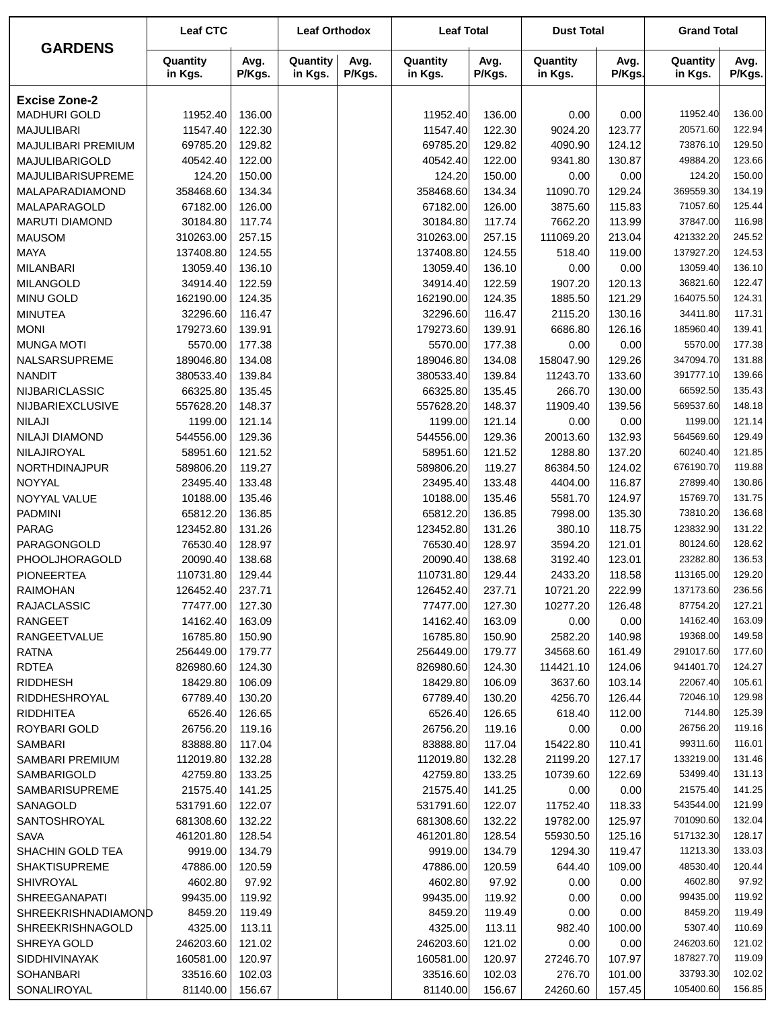|                         | <b>Leaf CTC</b>     |                | <b>Leaf Orthodox</b> |                | <b>Leaf Total</b>   |                | <b>Dust Total</b>   |                | <b>Grand Total</b>    |                  |
|-------------------------|---------------------|----------------|----------------------|----------------|---------------------|----------------|---------------------|----------------|-----------------------|------------------|
| <b>GARDENS</b>          | Quantity<br>in Kgs. | Avg.<br>P/Kgs. | Quantity<br>in Kgs.  | Avg.<br>P/Kgs. | Quantity<br>in Kgs. | Avg.<br>P/Kgs. | Quantity<br>in Kgs. | Avg.<br>P/Kgs. | Quantity<br>in Kgs.   | Avg.<br>P/Kgs.   |
| <b>Excise Zone-2</b>    |                     |                |                      |                |                     |                |                     |                |                       |                  |
| <b>MADHURI GOLD</b>     | 11952.40            | 136.00         |                      |                | 11952.40            | 136.00         | 0.00                | 0.00           | 11952.40              | 136.00           |
| <b>MAJULIBARI</b>       | 11547.40            | 122.30         |                      |                | 11547.40            | 122.30         | 9024.20             | 123.77         | 20571.60              | 122.94           |
| MAJULIBARI PREMIUM      | 69785.20            | 129.82         |                      |                | 69785.20            | 129.82         | 4090.90             | 124.12         | 73876.10              | 129.50           |
| MAJULIBARIGOLD          | 40542.40            | 122.00         |                      |                | 40542.40            | 122.00         | 9341.80             | 130.87         | 49884.20              | 123.66           |
| MAJULIBARISUPREME       | 124.20              | 150.00         |                      |                | 124.20              | 150.00         | 0.00                | 0.00           | 124.20                | 150.00           |
| MALAPARADIAMOND         | 358468.60           | 134.34         |                      |                | 358468.60           | 134.34         | 11090.70            | 129.24         | 369559.30             | 134.19           |
| MALAPARAGOLD            | 67182.00            | 126.00         |                      |                | 67182.00            | 126.00         | 3875.60             | 115.83         | 71057.60              | 125.44           |
| <b>MARUTI DIAMOND</b>   | 30184.80            | 117.74         |                      |                | 30184.80            | 117.74         | 7662.20             | 113.99         | 37847.00              | 116.98           |
| <b>MAUSOM</b>           | 310263.00           | 257.15         |                      |                | 310263.00           | 257.15         | 111069.20           | 213.04         | 421332.20             | 245.52           |
| <b>MAYA</b>             | 137408.80           | 124.55         |                      |                | 137408.80           | 124.55         | 518.40              | 119.00         | 137927.20             | 124.53           |
| <b>MILANBARI</b>        | 13059.40            | 136.10         |                      |                | 13059.40            | 136.10         | 0.00                | 0.00           | 13059.40              | 136.10           |
| <b>MILANGOLD</b>        | 34914.40            | 122.59         |                      |                | 34914.40            | 122.59         | 1907.20             | 120.13         | 36821.60              | 122.47           |
| MINU GOLD               | 162190.00           | 124.35         |                      |                | 162190.00           | 124.35         | 1885.50             | 121.29         | 164075.50             | 124.31           |
| <b>MINUTEA</b>          | 32296.60            | 116.47         |                      |                | 32296.60            | 116.47         | 2115.20             | 130.16         | 34411.80              | 117.31           |
| <b>MONI</b>             | 179273.60           | 139.91         |                      |                | 179273.60           | 139.91         | 6686.80             | 126.16         | 185960.40             | 139.41           |
| <b>MUNGA MOTI</b>       | 5570.00             | 177.38         |                      |                | 5570.00             | 177.38         | 0.00                | 0.00           | 5570.00               | 177.38           |
| NALSARSUPREME           | 189046.80           | 134.08         |                      |                | 189046.80           | 134.08         | 158047.90           | 129.26         | 347094.70             | 131.88           |
| <b>NANDIT</b>           | 380533.40           | 139.84         |                      |                | 380533.40           | 139.84         | 11243.70            | 133.60         | 391777.10             | 139.66           |
| NIJBARICLASSIC          | 66325.80            | 135.45         |                      |                | 66325.80            | 135.45         | 266.70              | 130.00         | 66592.50              | 135.43           |
| <b>NIJBARIEXCLUSIVE</b> | 557628.20           | 148.37         |                      |                | 557628.20           | 148.37         | 11909.40            | 139.56         | 569537.60             | 148.18           |
| <b>NILAJI</b>           | 1199.00             | 121.14         |                      |                | 1199.00             | 121.14         | 0.00                | 0.00           | 1199.00               | 121.14           |
| NILAJI DIAMOND          | 544556.00           | 129.36         |                      |                | 544556.00           | 129.36         | 20013.60            | 132.93         | 564569.60             | 129.49           |
| NILAJIROYAL             | 58951.60            | 121.52         |                      |                | 58951.60            | 121.52         | 1288.80             | 137.20         | 60240.40              | 121.85           |
| NORTHDINAJPUR           | 589806.20           | 119.27         |                      |                | 589806.20           | 119.27         | 86384.50            | 124.02         | 676190.70             | 119.88           |
| NOYYAL                  | 23495.40            | 133.48         |                      |                | 23495.40            | 133.48         | 4404.00             | 116.87         | 27899.40              | 130.86           |
| NOYYAL VALUE            | 10188.00            | 135.46         |                      |                | 10188.00            | 135.46         | 5581.70             | 124.97         | 15769.70              | 131.75           |
| <b>PADMINI</b>          | 65812.20            | 136.85         |                      |                | 65812.20            | 136.85         | 7998.00             | 135.30         | 73810.20              | 136.68           |
| <b>PARAG</b>            | 123452.80           | 131.26         |                      |                | 123452.80           | 131.26         | 380.10              | 118.75         | 123832.90             | 131.22           |
| PARAGONGOLD             | 76530.40            | 128.97         |                      |                | 76530.40            | 128.97         | 3594.20             | 121.01         | 80124.60              | 128.62           |
| PHOOLJHORAGOLD          | 20090.40            | 138.68         |                      |                | 20090.40            | 138.68         | 3192.40             | 123.01         | 23282.80              | 136.53           |
| <b>PIONEERTEA</b>       | 110731.80           | 129.44         |                      |                | 110731.80           | 129.44         | 2433.20             | 118.58         | 113165.00             | 129.20           |
| <b>RAIMOHAN</b>         | 126452.40           | 237.71         |                      |                | 126452.40           | 237.71         | 10721.20            | 222.99         | 137173.60             | 236.56           |
| <b>RAJACLASSIC</b>      | 77477.00            | 127.30         |                      |                | 77477.00            | 127.30         | 10277.20            | 126.48         | 87754.20              | 127.21           |
| <b>RANGEET</b>          | 14162.40            | 163.09         |                      |                | 14162.40            | 163.09         | 0.00                | 0.00           | 14162.40              | 163.09           |
| <b>RANGEETVALUE</b>     | 16785.80            | 150.90         |                      |                | 16785.80            | 150.90         | 2582.20             | 140.98         | 19368.00              | 149.58           |
| <b>RATNA</b>            | 256449.00           | 179.77         |                      |                | 256449.00           | 179.77         | 34568.60            | 161.49         | 291017.60             | 177.60           |
| <b>RDTEA</b>            | 826980.60           | 124.30         |                      |                | 826980.60           | 124.30         | 114421.10           | 124.06         | 941401.70             | 124.27           |
| <b>RIDDHESH</b>         | 18429.80            | 106.09         |                      |                | 18429.80            | 106.09         | 3637.60             | 103.14         | 22067.40              | 105.61           |
| RIDDHESHROYAL           | 67789.40            | 130.20         |                      |                | 67789.40            | 130.20         | 4256.70             | 126.44         | 72046.10              | 129.98           |
| <b>RIDDHITEA</b>        | 6526.40             | 126.65         |                      |                | 6526.40             | 126.65         | 618.40              | 112.00         | 7144.80               | 125.39           |
| ROYBARI GOLD            | 26756.20            | 119.16         |                      |                | 26756.20            | 119.16         | 0.00                | 0.00           | 26756.20              | 119.16           |
| SAMBARI                 | 83888.80            | 117.04         |                      |                | 83888.80            | 117.04         | 15422.80            | 110.41         | 99311.60              | 116.01           |
| SAMBARI PREMIUM         | 112019.80           | 132.28         |                      |                | 112019.80           | 132.28         | 21199.20            | 127.17         | 133219.00             | 131.46           |
| SAMBARIGOLD             | 42759.80            | 133.25         |                      |                | 42759.80            | 133.25         | 10739.60            | 122.69         | 53499.40              | 131.13           |
| <b>SAMBARISUPREME</b>   | 21575.40            | 141.25         |                      |                | 21575.40            | 141.25         | 0.00                | 0.00           | 21575.40              | 141.25           |
| SANAGOLD                | 531791.60           | 122.07         |                      |                | 531791.60           | 122.07         | 11752.40            | 118.33         | 543544.00             | 121.99           |
| SANTOSHROYAL            | 681308.60           | 132.22         |                      |                | 681308.60           | 132.22         | 19782.00            | 125.97         | 701090.60             | 132.04           |
| <b>SAVA</b>             | 461201.80           | 128.54         |                      |                | 461201.80           | 128.54         | 55930.50            | 125.16         | 517132.30             | 128.17           |
| SHACHIN GOLD TEA        | 9919.00             | 134.79         |                      |                | 9919.00             | 134.79         | 1294.30             | 119.47         | 11213.30              | 133.03           |
| <b>SHAKTISUPREME</b>    | 47886.00            | 120.59         |                      |                | 47886.00            | 120.59         | 644.40              | 109.00         | 48530.40              | 120.44           |
| SHIVROYAL               | 4602.80             | 97.92          |                      |                | 4602.80             | 97.92          | 0.00                | 0.00           | 4602.80               | 97.92            |
| SHREEGANAPATI           | 99435.00            | 119.92         |                      |                | 99435.00            | 119.92         | 0.00                | 0.00           | 99435.00              | 119.92           |
| SHREEKRISHNADIAMOND     | 8459.20             | 119.49         |                      |                | 8459.20             | 119.49         | 0.00                | 0.00           | 8459.20               | 119.49           |
| SHREEKRISHNAGOLD        | 4325.00             | 113.11         |                      |                | 4325.00             | 113.11         | 982.40              | 100.00         | 5307.40               | 110.69           |
| SHREYA GOLD             | 246203.60           | 121.02         |                      |                | 246203.60           | 121.02         | 0.00                | 0.00           | 246203.60             | 121.02           |
| <b>SIDDHIVINAYAK</b>    | 160581.00           | 120.97         |                      |                | 160581.00           | 120.97         | 27246.70            | 107.97         | 187827.70<br>33793.30 | 119.09<br>102.02 |
| <b>SOHANBARI</b>        | 33516.60            | 102.03         |                      |                | 33516.60            | 102.03         | 276.70              | 101.00         | 105400.60             | 156.85           |
| SONALIROYAL             | 81140.00            | 156.67         |                      |                | 81140.00            | 156.67         | 24260.60            | 157.45         |                       |                  |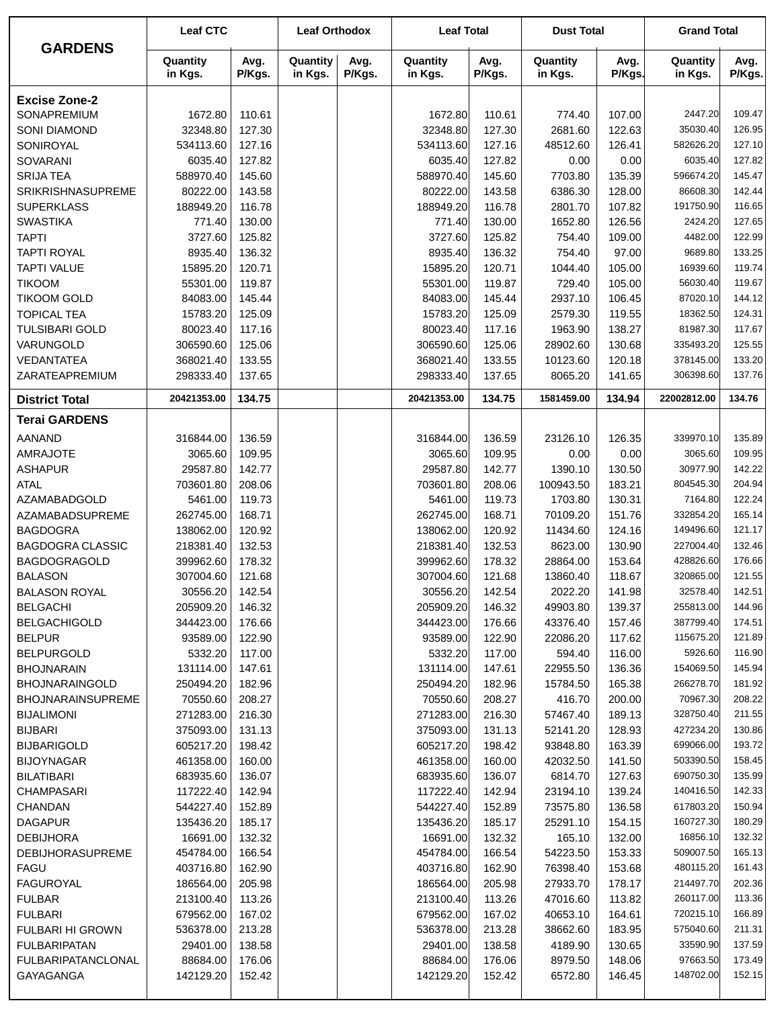| <b>GARDENS</b>            | <b>Leaf CTC</b>     |                | <b>Leaf Orthodox</b> |                | <b>Leaf Total</b>   |                | <b>Dust Total</b>   |                | <b>Grand Total</b>     |                  |
|---------------------------|---------------------|----------------|----------------------|----------------|---------------------|----------------|---------------------|----------------|------------------------|------------------|
|                           | Quantity<br>in Kgs. | Avg.<br>P/Kgs. | Quantity<br>in Kgs.  | Avg.<br>P/Kgs. | Quantity<br>in Kgs. | Avg.<br>P/Kgs. | Quantity<br>in Kgs. | Avg.<br>P/Kgs. | Quantity<br>in Kgs.    | Avg.<br>P/Kgs.   |
| <b>Excise Zone-2</b>      |                     |                |                      |                |                     |                |                     |                |                        |                  |
| SONAPREMIUM               | 1672.80             | 110.61         |                      |                | 1672.80             | 110.61         | 774.40              | 107.00         | 2447.20                | 109.47           |
| <b>SONI DIAMOND</b>       | 32348.80            | 127.30         |                      |                | 32348.80            | 127.30         | 2681.60             | 122.63         | 35030.40               | 126.95           |
| SONIROYAL                 | 534113.60           | 127.16         |                      |                | 534113.60           | 127.16         | 48512.60            | 126.41         | 582626.20              | 127.10           |
| <b>SOVARANI</b>           | 6035.40             | 127.82         |                      |                | 6035.40             | 127.82         | 0.00                | 0.00           | 6035.40                | 127.82           |
| <b>SRIJA TEA</b>          | 588970.40           | 145.60         |                      |                | 588970.40           | 145.60         | 7703.80             | 135.39         | 596674.20              | 145.47           |
| <b>SRIKRISHNASUPREME</b>  | 80222.00            | 143.58         |                      |                | 80222.00            | 143.58         | 6386.30             | 128.00         | 86608.30               | 142.44           |
| <b>SUPERKLASS</b>         | 188949.20           | 116.78         |                      |                | 188949.20           | 116.78         | 2801.70             | 107.82         | 191750.90              | 116.65           |
| <b>SWASTIKA</b>           | 771.40              | 130.00         |                      |                | 771.40              | 130.00         | 1652.80             | 126.56         | 2424.20                | 127.65           |
| <b>TAPTI</b>              | 3727.60             | 125.82         |                      |                | 3727.60             | 125.82         | 754.40              | 109.00         | 4482.00                | 122.99           |
| <b>TAPTI ROYAL</b>        | 8935.40             | 136.32         |                      |                | 8935.40             | 136.32         | 754.40              | 97.00          | 9689.80                | 133.25           |
| <b>TAPTI VALUE</b>        | 15895.20            | 120.71         |                      |                | 15895.20            | 120.71         | 1044.40             | 105.00         | 16939.60               | 119.74           |
| <b>TIKOOM</b>             | 55301.00            | 119.87         |                      |                | 55301.00            | 119.87         | 729.40              | 105.00         | 56030.40               | 119.67           |
| <b>TIKOOM GOLD</b>        | 84083.00            | 145.44         |                      |                | 84083.00            | 145.44         | 2937.10             | 106.45         | 87020.10               | 144.12           |
| <b>TOPICAL TEA</b>        | 15783.20            | 125.09         |                      |                | 15783.20            | 125.09         | 2579.30             | 119.55         | 18362.50               | 124.31           |
| <b>TULSIBARI GOLD</b>     | 80023.40            | 117.16         |                      |                | 80023.40            | 117.16         | 1963.90             | 138.27         | 81987.30               | 117.67           |
| VARUNGOLD                 | 306590.60           | 125.06         |                      |                | 306590.60           | 125.06         | 28902.60            | 130.68         | 335493.20              | 125.55           |
| VEDANTATEA                | 368021.40           | 133.55         |                      |                | 368021.40           | 133.55         | 10123.60            | 120.18         | 378145.00              | 133.20           |
| ZARATEAPREMIUM            | 298333.40           | 137.65         |                      |                | 298333.40           | 137.65         | 8065.20             | 141.65         | 306398.60              | 137.76           |
| <b>District Total</b>     | 20421353.00         | 134.75         |                      |                | 20421353.00         | 134.75         | 1581459.00          | 134.94         | 22002812.00            | 134.76           |
| <b>Terai GARDENS</b>      |                     |                |                      |                |                     |                |                     |                |                        |                  |
| <b>AANAND</b>             | 316844.00           | 136.59         |                      |                | 316844.00           | 136.59         | 23126.10            | 126.35         | 339970.10              | 135.89           |
| <b>AMRAJOTE</b>           | 3065.60             | 109.95         |                      |                | 3065.60             | 109.95         | 0.00                | 0.00           | 3065.60                | 109.95           |
| <b>ASHAPUR</b>            | 29587.80            | 142.77         |                      |                | 29587.80            | 142.77         | 1390.10             | 130.50         | 30977.90               | 142.22           |
| <b>ATAL</b>               | 703601.80           | 208.06         |                      |                | 703601.80           | 208.06         | 100943.50           | 183.21         | 804545.30              | 204.94           |
| <b>AZAMABADGOLD</b>       | 5461.00             | 119.73         |                      |                | 5461.00             | 119.73         | 1703.80             | 130.31         | 7164.80                | 122.24           |
| AZAMABADSUPREME           | 262745.00           | 168.71         |                      |                | 262745.00           | 168.71         | 70109.20            | 151.76         | 332854.20              | 165.14           |
| <b>BAGDOGRA</b>           | 138062.00           | 120.92         |                      |                | 138062.00           | 120.92         | 11434.60            | 124.16         | 149496.60              | 121.17           |
| <b>BAGDOGRA CLASSIC</b>   | 218381.40           | 132.53         |                      |                | 218381.40           | 132.53         | 8623.00             | 130.90         | 227004.40              | 132.46           |
| <b>BAGDOGRAGOLD</b>       | 399962.60           | 178.32         |                      |                | 399962.60           | 178.32         | 28864.00            | 153.64         | 428826.60              | 176.66           |
| <b>BALASON</b>            | 307004.60           | 121.68         |                      |                | 307004.60           | 121.68         | 13860.40            | 118.67         | 320865.00              | 121.55           |
| <b>BALASON ROYAL</b>      | 30556.20            | 142.54         |                      |                | 30556.20            | 142.54         | 2022.20             | 141.98         | 32578.40               | 142.51           |
| <b>BELGACHI</b>           | 205909.20           | 146.32         |                      |                | 205909.20           | 146.32         | 49903.80            | 139.37         | 255813.00              | 144.96           |
| <b>BELGACHIGOLD</b>       | 344423.00           | 176.66         |                      |                | 344423.00           | 176.66         | 43376.40            | 157.46         | 387799.40              | 174.51           |
| <b>BELPUR</b>             | 93589.00            | 122.90         |                      |                | 93589.00            | 122.90         | 22086.20            | 117.62         | 115675.20              | 121.89           |
| <b>BELPURGOLD</b>         | 5332.20             | 117.00         |                      |                | 5332.20             | 117.00         | 594.40              | 116.00         | 5926.60                | 116.90           |
| <b>BHOJNARAIN</b>         | 131114.00           | 147.61         |                      |                | 131114.00           | 147.61         | 22955.50            | 136.36         | 154069.50              | 145.94           |
| <b>BHOJNARAINGOLD</b>     | 250494.20           | 182.96         |                      |                | 250494.20           | 182.96         | 15784.50            | 165.38         | 266278.70              | 181.92           |
| <b>BHOJNARAINSUPREME</b>  | 70550.60            | 208.27         |                      |                | 70550.60            | 208.27         | 416.70              | 200.00         | 70967.30               | 208.22           |
| <b>BIJALIMONI</b>         | 271283.00           | 216.30         |                      |                | 271283.00           | 216.30         | 57467.40            | 189.13         | 328750.40              | 211.55           |
| <b>BIJBARI</b>            | 375093.00           | 131.13         |                      |                | 375093.00           | 131.13         | 52141.20            | 128.93         | 427234.20              | 130.86           |
| <b>BIJBARIGOLD</b>        | 605217.20           | 198.42         |                      |                | 605217.20           | 198.42         | 93848.80            | 163.39         | 699066.00              | 193.72           |
| <b>BIJOYNAGAR</b>         | 461358.00           | 160.00         |                      |                | 461358.00           | 160.00         | 42032.50            | 141.50         | 503390.50              | 158.45           |
| <b>BILATIBARI</b>         | 683935.60           | 136.07         |                      |                | 683935.60           | 136.07         | 6814.70             | 127.63         | 690750.30              | 135.99           |
| CHAMPASARI                | 117222.40           | 142.94         |                      |                | 117222.40           | 142.94         | 23194.10            | 139.24         | 140416.50              | 142.33           |
| CHANDAN                   | 544227.40           | 152.89         |                      |                | 544227.40           | 152.89         | 73575.80            | 136.58         | 617803.20              | 150.94           |
| <b>DAGAPUR</b>            | 135436.20           | 185.17         |                      |                | 135436.20           | 185.17         | 25291.10            | 154.15         | 160727.30              | 180.29           |
| <b>DEBIJHORA</b>          | 16691.00            | 132.32         |                      |                | 16691.00            | 132.32         | 165.10              | 132.00         | 16856.10               | 132.32           |
| <b>DEBIJHORASUPREME</b>   | 454784.00           | 166.54         |                      |                | 454784.00           | 166.54         | 54223.50            | 153.33         | 509007.50              | 165.13           |
| <b>FAGU</b>               | 403716.80           | 162.90         |                      |                | 403716.80           | 162.90         | 76398.40            | 153.68         | 480115.20              | 161.43           |
| <b>FAGUROYAL</b>          | 186564.00           | 205.98         |                      |                | 186564.00           | 205.98         | 27933.70            | 178.17         | 214497.70              | 202.36           |
|                           |                     |                |                      |                |                     |                |                     |                |                        | 113.36           |
| <b>FULBAR</b>             | 213100.40           | 113.26         |                      |                | 213100.40           | 113.26         | 47016.60            | 113.82         | 260117.00<br>720215.10 | 166.89           |
| <b>FULBARI</b>            | 679562.00           | 167.02         |                      |                | 679562.00           | 167.02         | 40653.10            | 164.61         |                        | 211.31           |
| <b>FULBARI HI GROWN</b>   | 536378.00           | 213.28         |                      |                | 536378.00           | 213.28         | 38662.60            | 183.95         | 575040.60              |                  |
| <b>FULBARIPATAN</b>       | 29401.00            | 138.58         |                      |                | 29401.00            | 138.58         | 4189.90             | 130.65         | 33590.90<br>97663.50   | 137.59<br>173.49 |
| <b>FULBARIPATANCLONAL</b> | 88684.00            | 176.06         |                      |                | 88684.00            | 176.06         | 8979.50             | 148.06         | 148702.00              | 152.15           |
| GAYAGANGA                 | 142129.20           | 152.42         |                      |                | 142129.20           | 152.42         | 6572.80             | 146.45         |                        |                  |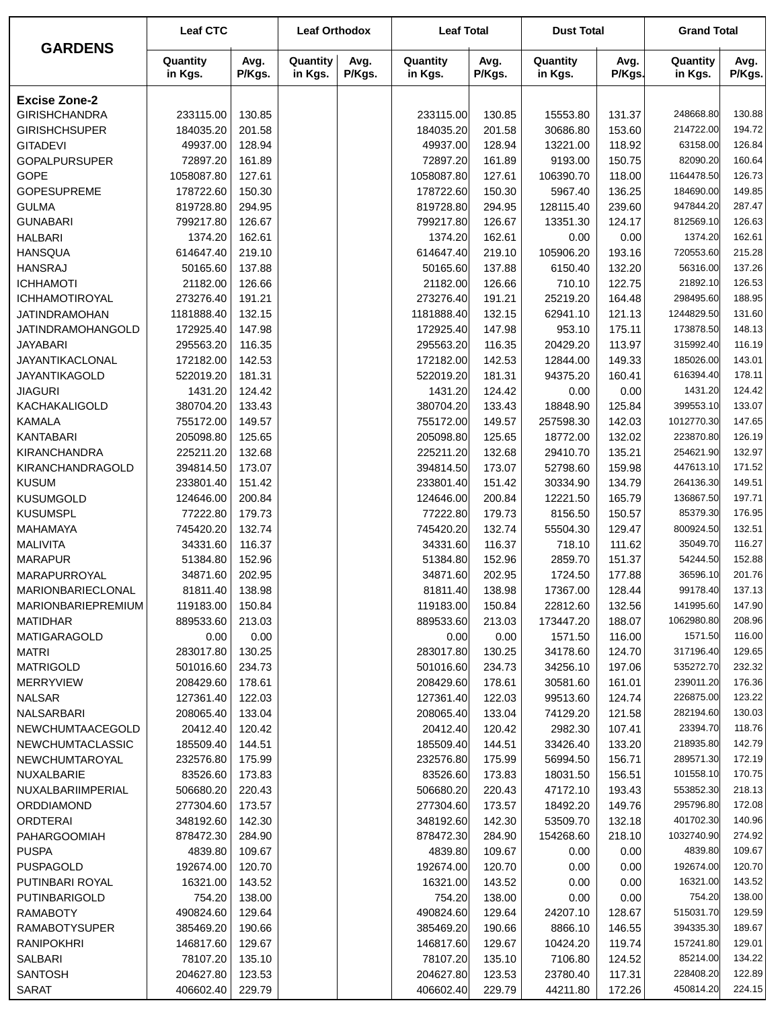|                          | <b>Leaf CTC</b>     |                | <b>Leaf Orthodox</b> |                | <b>Leaf Total</b>   |                | <b>Dust Total</b>   |                | <b>Grand Total</b>  |                |
|--------------------------|---------------------|----------------|----------------------|----------------|---------------------|----------------|---------------------|----------------|---------------------|----------------|
| <b>GARDENS</b>           | Quantity<br>in Kgs. | Avg.<br>P/Kgs. | Quantity<br>in Kgs.  | Avg.<br>P/Kgs. | Quantity<br>in Kgs. | Avg.<br>P/Kgs. | Quantity<br>in Kgs. | Avg.<br>P/Kgs. | Quantity<br>in Kgs. | Avg.<br>P/Kgs. |
| <b>Excise Zone-2</b>     |                     |                |                      |                |                     |                |                     |                |                     |                |
| <b>GIRISHCHANDRA</b>     | 233115.00           | 130.85         |                      |                | 233115.00           | 130.85         | 15553.80            | 131.37         | 248668.80           | 130.88         |
| <b>GIRISHCHSUPER</b>     | 184035.20           | 201.58         |                      |                | 184035.20           | 201.58         | 30686.80            | 153.60         | 214722.00           | 194.72         |
| <b>GITADEVI</b>          | 49937.00            | 128.94         |                      |                | 49937.00            | 128.94         | 13221.00            | 118.92         | 63158.00            | 126.84         |
| <b>GOPALPURSUPER</b>     | 72897.20            | 161.89         |                      |                | 72897.20            | 161.89         | 9193.00             | 150.75         | 82090.20            | 160.64         |
| <b>GOPE</b>              | 1058087.80          | 127.61         |                      |                | 1058087.80          | 127.61         | 106390.70           | 118.00         | 1164478.50          | 126.73         |
| <b>GOPESUPREME</b>       | 178722.60           | 150.30         |                      |                | 178722.60           | 150.30         | 5967.40             | 136.25         | 184690.00           | 149.85         |
| <b>GULMA</b>             | 819728.80           | 294.95         |                      |                | 819728.80           | 294.95         | 128115.40           | 239.60         | 947844.20           | 287.47         |
| <b>GUNABARI</b>          | 799217.80           | 126.67         |                      |                | 799217.80           | 126.67         | 13351.30            | 124.17         | 812569.10           | 126.63         |
| <b>HALBARI</b>           | 1374.20             | 162.61         |                      |                | 1374.20             | 162.61         | 0.00                | 0.00           | 1374.20             | 162.61         |
| <b>HANSQUA</b>           | 614647.40           | 219.10         |                      |                | 614647.40           | 219.10         | 105906.20           | 193.16         | 720553.60           | 215.28         |
| <b>HANSRAJ</b>           | 50165.60            | 137.88         |                      |                | 50165.60            | 137.88         | 6150.40             | 132.20         | 56316.00            | 137.26         |
| <b>ICHHAMOTI</b>         | 21182.00            | 126.66         |                      |                | 21182.00            | 126.66         | 710.10              | 122.75         | 21892.10            | 126.53         |
| ICHHAMOTIROYAL           | 273276.40           | 191.21         |                      |                | 273276.40           | 191.21         | 25219.20            | 164.48         | 298495.60           | 188.95         |
| <b>JATINDRAMOHAN</b>     | 1181888.40          | 132.15         |                      |                | 1181888.40          | 132.15         | 62941.10            | 121.13         | 1244829.50          | 131.60         |
| <b>JATINDRAMOHANGOLD</b> | 172925.40           | 147.98         |                      |                | 172925.40           | 147.98         | 953.10              | 175.11         | 173878.50           | 148.13         |
| <b>JAYABARI</b>          | 295563.20           | 116.35         |                      |                | 295563.20           | 116.35         | 20429.20            | 113.97         | 315992.40           | 116.19         |
| JAYANTIKACLONAL          | 172182.00           | 142.53         |                      |                | 172182.00           | 142.53         | 12844.00            | 149.33         | 185026.00           | 143.01         |
| JAYANTIKAGOLD            | 522019.20           | 181.31         |                      |                | 522019.20           | 181.31         | 94375.20            | 160.41         | 616394.40           | 178.11         |
| <b>JIAGURI</b>           | 1431.20             | 124.42         |                      |                | 1431.20             | 124.42         | 0.00                | 0.00           | 1431.20             | 124.42         |
| KACHAKALIGOLD            | 380704.20           | 133.43         |                      |                | 380704.20           | 133.43         | 18848.90            | 125.84         | 399553.10           | 133.07         |
| <b>KAMALA</b>            | 755172.00           | 149.57         |                      |                | 755172.00           | 149.57         | 257598.30           | 142.03         | 1012770.30          | 147.65         |
| <b>KANTABARI</b>         | 205098.80           | 125.65         |                      |                | 205098.80           | 125.65         | 18772.00            | 132.02         | 223870.80           | 126.19         |
| <b>KIRANCHANDRA</b>      | 225211.20           | 132.68         |                      |                | 225211.20           | 132.68         | 29410.70            | 135.21         | 254621.90           | 132.97         |
| KIRANCHANDRAGOLD         | 394814.50           | 173.07         |                      |                | 394814.50           | 173.07         | 52798.60            | 159.98         | 447613.10           | 171.52         |
| <b>KUSUM</b>             | 233801.40           | 151.42         |                      |                | 233801.40           | 151.42         | 30334.90            | 134.79         | 264136.30           | 149.51         |
| <b>KUSUMGOLD</b>         | 124646.00           | 200.84         |                      |                | 124646.00           | 200.84         | 12221.50            | 165.79         | 136867.50           | 197.71         |
| <b>KUSUMSPL</b>          | 77222.80            | 179.73         |                      |                | 77222.80            | 179.73         | 8156.50             | 150.57         | 85379.30            | 176.95         |
| <b>MAHAMAYA</b>          | 745420.20           | 132.74         |                      |                | 745420.20           | 132.74         | 55504.30            | 129.47         | 800924.50           | 132.51         |
| <b>MALIVITA</b>          | 34331.60            | 116.37         |                      |                | 34331.60            | 116.37         | 718.10              | 111.62         | 35049.70            | 116.27         |
| <b>MARAPUR</b>           | 51384.80            | 152.96         |                      |                | 51384.80            | 152.96         | 2859.70             | 151.37         | 54244.50            | 152.88         |
| MARAPURROYAL             | 34871.60            | 202.95         |                      |                | 34871.60            | 202.95         | 1724.50             | 177.88         | 36596.10            | 201.76         |
| MARIONBARIECLONAL        | 81811.40            | 138.98         |                      |                | 81811.40            | 138.98         | 17367.00            | 128.44         | 99178.40            | 137.13         |
| MARIONBARIEPREMIUM       | 119183.00           | 150.84         |                      |                | 119183.00           | 150.84         | 22812.60            | 132.56         | 141995.60           | 147.90         |
| <b>MATIDHAR</b>          | 889533.60           | 213.03         |                      |                | 889533.60           | 213.03         | 173447.20           | 188.07         | 1062980.80          | 208.96         |
| <b>MATIGARAGOLD</b>      | 0.00                | 0.00           |                      |                | 0.00                | 0.00           | 1571.50             | 116.00         | 1571.50             | 116.00         |
| <b>MATRI</b>             | 283017.80           | 130.25         |                      |                | 283017.80           | 130.25         | 34178.60            | 124.70         | 317196.40           | 129.65         |
| <b>MATRIGOLD</b>         | 501016.60           | 234.73         |                      |                | 501016.60           | 234.73         | 34256.10            | 197.06         | 535272.70           | 232.32         |
| <b>MERRYVIEW</b>         | 208429.60           | 178.61         |                      |                | 208429.60           | 178.61         | 30581.60            | 161.01         | 239011.20           | 176.36         |
| <b>NALSAR</b>            | 127361.40           | 122.03         |                      |                | 127361.40           | 122.03         | 99513.60            | 124.74         | 226875.00           | 123.22         |
| NALSARBARI               | 208065.40           | 133.04         |                      |                | 208065.40           | 133.04         | 74129.20            | 121.58         | 282194.60           | 130.03         |
| NEWCHUMTAACEGOLD         | 20412.40            | 120.42         |                      |                | 20412.40            | 120.42         | 2982.30             | 107.41         | 23394.70            | 118.76         |
| <b>NEWCHUMTACLASSIC</b>  | 185509.40           | 144.51         |                      |                | 185509.40           | 144.51         | 33426.40            | 133.20         | 218935.80           | 142.79         |
| NEWCHUMTAROYAL           | 232576.80           | 175.99         |                      |                | 232576.80           | 175.99         | 56994.50            | 156.71         | 289571.30           | 172.19         |
| NUXALBARIE               | 83526.60            | 173.83         |                      |                | 83526.60            | 173.83         | 18031.50            | 156.51         | 101558.10           | 170.75         |
| NUXALBARIIMPERIAL        | 506680.20           | 220.43         |                      |                | 506680.20           | 220.43         | 47172.10            | 193.43         | 553852.30           | 218.13         |
| ORDDIAMOND               | 277304.60           | 173.57         |                      |                | 277304.60           | 173.57         | 18492.20            | 149.76         | 295796.80           | 172.08         |
| <b>ORDTERAI</b>          | 348192.60           | 142.30         |                      |                | 348192.60           | 142.30         | 53509.70            | 132.18         | 401702.30           | 140.96         |
| <b>PAHARGOOMIAH</b>      | 878472.30           | 284.90         |                      |                | 878472.30           | 284.90         | 154268.60           | 218.10         | 1032740.90          | 274.92         |
| <b>PUSPA</b>             | 4839.80             | 109.67         |                      |                | 4839.80             | 109.67         | 0.00                | 0.00           | 4839.80             | 109.67         |
| <b>PUSPAGOLD</b>         | 192674.00           | 120.70         |                      |                | 192674.00           | 120.70         | 0.00                | 0.00           | 192674.00           | 120.70         |
| PUTINBARI ROYAL          | 16321.00            | 143.52         |                      |                | 16321.00            | 143.52         | 0.00                | 0.00           | 16321.00            | 143.52         |
| PUTINBARIGOLD            | 754.20              | 138.00         |                      |                | 754.20              | 138.00         | 0.00                | 0.00           | 754.20              | 138.00         |
| <b>RAMABOTY</b>          | 490824.60           | 129.64         |                      |                | 490824.60           | 129.64         | 24207.10            | 128.67         | 515031.70           | 129.59         |
| <b>RAMABOTYSUPER</b>     | 385469.20           | 190.66         |                      |                | 385469.20           | 190.66         | 8866.10             | 146.55         | 394335.30           | 189.67         |
| <b>RANIPOKHRI</b>        | 146817.60           | 129.67         |                      |                | 146817.60           | 129.67         | 10424.20            | 119.74         | 157241.80           | 129.01         |
| SALBARI                  | 78107.20            | 135.10         |                      |                | 78107.20            | 135.10         | 7106.80             | 124.52         | 85214.00            | 134.22         |
| <b>SANTOSH</b>           | 204627.80           | 123.53         |                      |                | 204627.80           | 123.53         | 23780.40            | 117.31         | 228408.20           | 122.89         |
| <b>SARAT</b>             | 406602.40           | 229.79         |                      |                | 406602.40           | 229.79         | 44211.80            | 172.26         | 450814.20           | 224.15         |